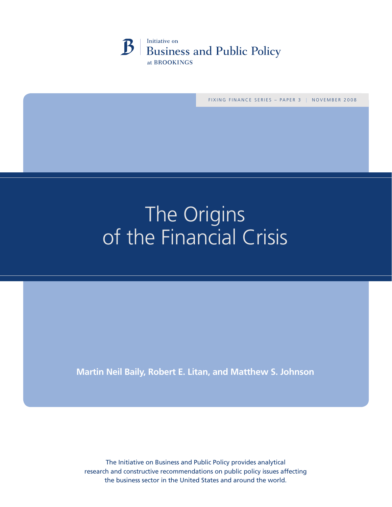

FIXING FINANCE SERIES - PAPER 3 | NOVEMBER 2008

# The Origins of the Financial Crisis

**Martin Neil Baily, Robert E. Litan, and Matthew S. Johnson**

The Initiative on Business and Public Policy provides analytical research and constructive recommendations on public policy issues affecting the business sector in the United States and around the world.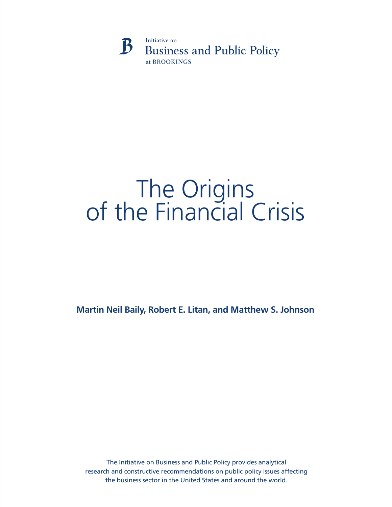

# The Origins<br>of the Financial Crisis

**Martin Neil Baily, Robert E. Litan, and Matthew S. Johnson**

The Initiative on Business and Public Policy provides analytical research and constructive recommendations on public policy issues affecting the business sector in the United States and around the world.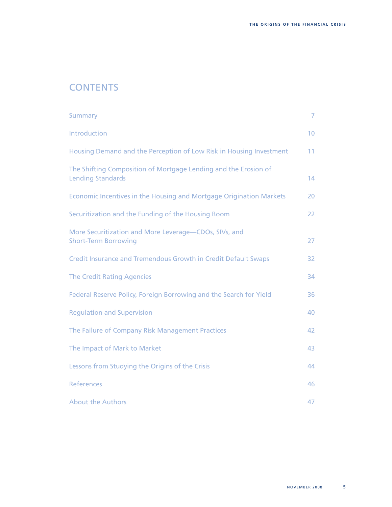# **CONTENTS**

| <b>Summary</b>                                                                              | $\overline{7}$  |
|---------------------------------------------------------------------------------------------|-----------------|
| Introduction                                                                                | 10 <sup>°</sup> |
| Housing Demand and the Perception of Low Risk in Housing Investment                         | 11              |
| The Shifting Composition of Mortgage Lending and the Erosion of<br><b>Lending Standards</b> | 14              |
| Economic Incentives in the Housing and Mortgage Origination Markets                         | 20              |
| Securitization and the Funding of the Housing Boom                                          | 22              |
| More Securitization and More Leverage-CDOs, SIVs, and<br><b>Short-Term Borrowing</b>        | 27              |
| <b>Credit Insurance and Tremendous Growth in Credit Default Swaps</b>                       | 32              |
| <b>The Credit Rating Agencies</b>                                                           | 34              |
| Federal Reserve Policy, Foreign Borrowing and the Search for Yield                          | 36              |
| <b>Regulation and Supervision</b>                                                           | 40              |
| The Failure of Company Risk Management Practices                                            | 42              |
| The Impact of Mark to Market                                                                | 43              |
| Lessons from Studying the Origins of the Crisis                                             | 44              |
| <b>References</b>                                                                           | 46              |
| <b>About the Authors</b>                                                                    | 47              |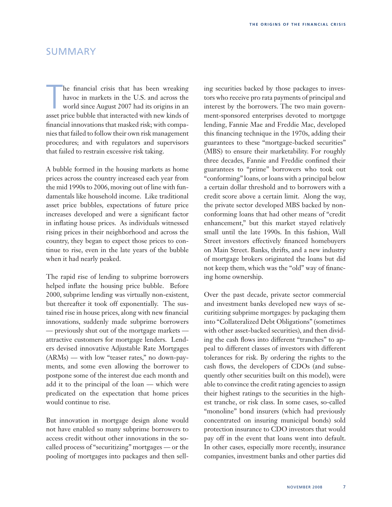# SUMMARY

he financial crisis that has been wreaking<br>havoc in markets in the U.S. and across the<br>world since August 2007 had its origins in an<br>asset price bubble that interacted with new kinds of he financial crisis that has been wreaking havoc in markets in the U.S. and across the world since August 2007 had its origins in an financial innovations that masked risk; with companies that failed to follow their own risk management procedures; and with regulators and supervisors that failed to restrain excessive risk taking.

A bubble formed in the housing markets as home prices across the country increased each year from the mid 1990s to 2006, moving out of line with fundamentals like household income. Like traditional asset price bubbles, expectations of future price increases developed and were a significant factor in inflating house prices. As individuals witnessed rising prices in their neighborhood and across the country, they began to expect those prices to continue to rise, even in the late years of the bubble when it had nearly peaked.

The rapid rise of lending to subprime borrowers helped inflate the housing price bubble. Before 2000, subprime lending was virtually non-existent, but thereafter it took off exponentially. The sustained rise in house prices, along with new financial innovations, suddenly made subprime borrowers — previously shut out of the mortgage markets attractive customers for mortgage lenders. Lenders devised innovative Adjustable Rate Mortgages (ARMs) — with low "teaser rates," no down-payments, and some even allowing the borrower to postpone some of the interest due each month and add it to the principal of the loan — which were predicated on the expectation that home prices would continue to rise.

But innovation in mortgage design alone would not have enabled so many subprime borrowers to access credit without other innovations in the socalled process of "securitizing" mortgages — or the pooling of mortgages into packages and then selling securities backed by those packages to investors who receive pro rata payments of principal and interest by the borrowers. The two main government-sponsored enterprises devoted to mortgage lending, Fannie Mae and Freddie Mac, developed this financing technique in the 1970s, adding their guarantees to these "mortgage-backed securities" (MBS) to ensure their marketability. For roughly three decades, Fannie and Freddie confined their guarantees to "prime" borrowers who took out "conforming" loans, or loans with a principal below a certain dollar threshold and to borrowers with a credit score above a certain limit. Along the way, the private sector developed MBS backed by nonconforming loans that had other means of "credit enhancement," but this market stayed relatively small until the late 1990s. In this fashion, Wall Street investors effectively financed homebuyers on Main Street. Banks, thrifts, and a new industry of mortgage brokers originated the loans but did not keep them, which was the "old" way of financing home ownership.

Over the past decade, private sector commercial and investment banks developed new ways of securitizing subprime mortgages: by packaging them into "Collateralized Debt Obligations" (sometimes with other asset-backed securities), and then dividing the cash flows into different "tranches" to appeal to different classes of investors with different tolerances for risk. By ordering the rights to the cash flows, the developers of CDOs (and subsequently other securities built on this model), were able to convince the credit rating agencies to assign their highest ratings to the securities in the highest tranche, or risk class. In some cases, so-called "monoline" bond insurers (which had previously concentrated on insuring municipal bonds) sold protection insurance to CDO investors that would pay off in the event that loans went into default. In other cases, especially more recently, insurance companies, investment banks and other parties did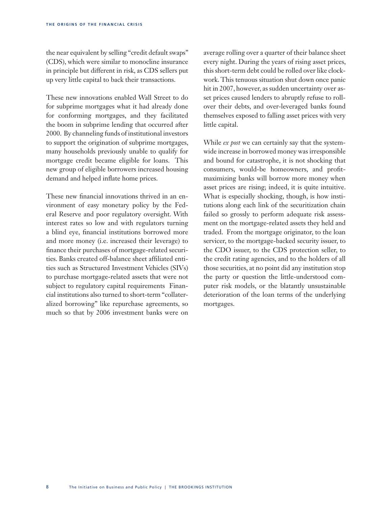the near equivalent by selling "credit default swaps" (CDS), which were similar to monocline insurance in principle but different in risk, as CDS sellers put up very little capital to back their transactions.

These new innovations enabled Wall Street to do for subprime mortgages what it had already done for conforming mortgages, and they facilitated the boom in subprime lending that occurred after 2000. By channeling funds of institutional investors to support the origination of subprime mortgages, many households previously unable to qualify for mortgage credit became eligible for loans. This new group of eligible borrowers increased housing demand and helped inflate home prices.

These new financial innovations thrived in an environment of easy monetary policy by the Federal Reserve and poor regulatory oversight. With interest rates so low and with regulators turning a blind eye, financial institutions borrowed more and more money (i.e. increased their leverage) to finance their purchases of mortgage-related securities. Banks created off-balance sheet affiliated entities such as Structured Investment Vehicles (SIVs) to purchase mortgage-related assets that were not subject to regulatory capital requirements Financial institutions also turned to short-term "collateralized borrowing" like repurchase agreements, so much so that by 2006 investment banks were on

average rolling over a quarter of their balance sheet every night. During the years of rising asset prices, this short-term debt could be rolled over like clockwork. This tenuous situation shut down once panic hit in 2007, however, as sudden uncertainty over asset prices caused lenders to abruptly refuse to rollover their debts, and over-leveraged banks found themselves exposed to falling asset prices with very little capital.

While *ex post* we can certainly say that the systemwide increase in borrowed money was irresponsible and bound for catastrophe, it is not shocking that consumers, would-be homeowners, and profitmaximizing banks will borrow more money when asset prices are rising; indeed, it is quite intuitive. What is especially shocking, though, is how institutions along each link of the securitization chain failed so grossly to perform adequate risk assessment on the mortgage-related assets they held and traded. From the mortgage originator, to the loan servicer, to the mortgage-backed security issuer, to the CDO issuer, to the CDS protection seller, to the credit rating agencies, and to the holders of all those securities, at no point did any institution stop the party or question the little-understood computer risk models, or the blatantly unsustainable deterioration of the loan terms of the underlying mortgages.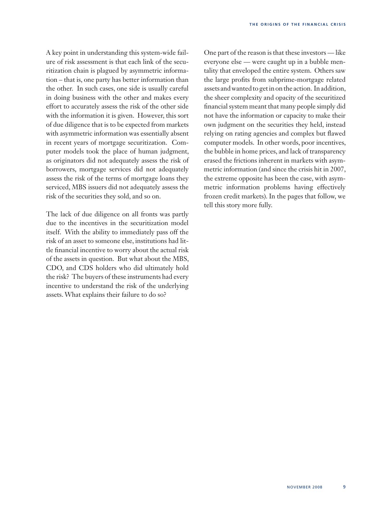A key point in understanding this system-wide failure of risk assessment is that each link of the securitization chain is plagued by asymmetric information – that is, one party has better information than the other. In such cases, one side is usually careful in doing business with the other and makes every effort to accurately assess the risk of the other side with the information it is given. However, this sort of due diligence that is to be expected from markets with asymmetric information was essentially absent in recent years of mortgage securitization. Computer models took the place of human judgment, as originators did not adequately assess the risk of borrowers, mortgage services did not adequately assess the risk of the terms of mortgage loans they serviced, MBS issuers did not adequately assess the risk of the securities they sold, and so on.

The lack of due diligence on all fronts was partly due to the incentives in the securitization model itself. With the ability to immediately pass off the risk of an asset to someone else, institutions had little financial incentive to worry about the actual risk of the assets in question. But what about the MBS, CDO, and CDS holders who did ultimately hold the risk? The buyers of these instruments had every incentive to understand the risk of the underlying assets. What explains their failure to do so?

One part of the reason is that these investors — like everyone else — were caught up in a bubble mentality that enveloped the entire system. Others saw the large profits from subprime-mortgage related assets and wanted to get in on the action. In addition, the sheer complexity and opacity of the securitized financial system meant that many people simply did not have the information or capacity to make their own judgment on the securities they held, instead relying on rating agencies and complex but flawed computer models. In other words, poor incentives, the bubble in home prices, and lack of transparency erased the frictions inherent in markets with asymmetric information (and since the crisis hit in 2007, the extreme opposite has been the case, with asymmetric information problems having effectively frozen credit markets). In the pages that follow, we tell this story more fully.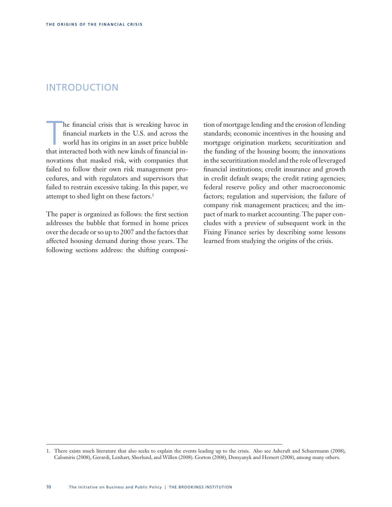# INTRODUCTION

he financial crisis that is wreaking havoc in financial markets in the U.S. and across the world has its origins in an asset price bubble that interacted both with new kinds of financial inhe financial crisis that is wreaking havoc in financial markets in the U.S. and across the world has its origins in an asset price bubble novations that masked risk, with companies that failed to follow their own risk management procedures, and with regulators and supervisors that failed to restrain excessive taking. In this paper, we attempt to shed light on these factors.<sup>1</sup>

The paper is organized as follows: the first section addresses the bubble that formed in home prices over the decade or so up to 2007 and the factors that affected housing demand during those years. The following sections address: the shifting composition of mortgage lending and the erosion of lending standards; economic incentives in the housing and mortgage origination markets; securitization and the funding of the housing boom; the innovations in the securitization model and the role of leveraged financial institutions; credit insurance and growth in credit default swaps; the credit rating agencies; federal reserve policy and other macroeconomic factors; regulation and supervision; the failure of company risk management practices; and the impact of mark to market accounting. The paper concludes with a preview of subsequent work in the Fixing Finance series by describing some lessons learned from studying the origins of the crisis.

<sup>1.</sup> There exists much literature that also seeks to explain the events leading up to the crisis. Also see Ashcraft and Schuermann (2008), Calomiris (2008), Gerardi, Lenhart, Sherlund, and Willen (2008). Gorton (2008), Demyanyk and Hemert (2008), among many others.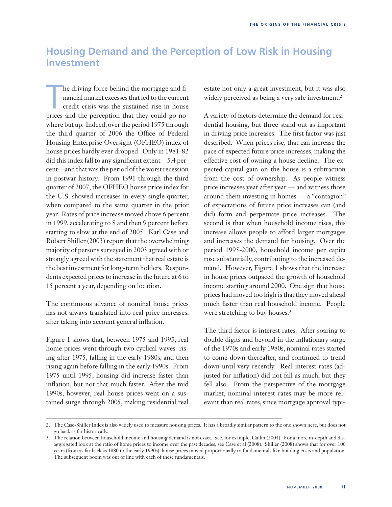# **Housing Demand and the Perception of Low Risk in Housing Investment**

he driving force behind the mortgage and financial market excesses that led to the current credit crisis was the sustained rise in house prices and the perception that they could go nohe driving force behind the mortgage and financial market excesses that led to the current credit crisis was the sustained rise in house where but up. Indeed, over the period 1975 through the third quarter of 2006 the Office of Federal Housing Enterprise Oversight (OFHEO) index of house prices hardly ever dropped. Only in 1981-82 did this index fall to any significant extent—5.4 percent—and that was the period of the worst recession in postwar history. From 1991 through the third quarter of 2007, the OFHEO house price index for the U.S. showed increases in every single quarter, when compared to the same quarter in the prior year. Rates of price increase moved above 6 percent in 1999, accelerating to 8 and then 9 percent before starting to slow at the end of 2005. Karl Case and Robert Shiller (2003) report that the overwhelming majority of persons surveyed in 2003 agreed with or strongly agreed with the statement that real estate is the best investment for long-term holders. Respondents expected prices to increase in the future at 6 to 15 percent a year, depending on location.

The continuous advance of nominal house prices has not always translated into real price increases, after taking into account general inflation.

Figure 1 shows that, between 1975 and 1995, real home prices went through two cyclical waves: rising after 1975, falling in the early 1980s, and then rising again before falling in the early 1990s. From 1975 until 1995, housing did increase faster than inflation, but not that much faster. After the mid 1990s, however, real house prices went on a sustained surge through 2005, making residential real estate not only a great investment, but it was also widely perceived as being a very safe investment.<sup>2</sup>

A variety of factors determine the demand for residential housing, but three stand out as important in driving price increases. The first factor was just described. When prices rise, that can increase the pace of expected future price increases, making the effective cost of owning a house decline. The expected capital gain on the house is a subtraction from the cost of ownership. As people witness price increases year after year — and witness those around them investing in homes — a "contagion" of expectations of future price increases can (and did) form and perpetuate price increases. The second is that when household income rises, this increase allows people to afford larger mortgages and increases the demand for housing. Over the period 1995-2000, household income per capita rose substantially, contributing to the increased demand. However, Figure 1 shows that the increase in house prices outpaced the growth of household income starting around 2000. One sign that house prices had moved too high is that they moved ahead much faster than real household income. People were stretching to buy houses.<sup>3</sup>

The third factor is interest rates. After soaring to double digits and beyond in the inflationary surge of the 1970s and early 1980s, nominal rates started to come down thereafter, and continued to trend down until very recently. Real interest rates (adjusted for inflation) did not fall as much, but they fell also. From the perspective of the mortgage market, nominal interest rates may be more relevant than real rates, since mortgage approval typi-

<sup>2.</sup> The Case-Shiller Index is also widely used to measure housing prices. It has a broadly similar pattern to the one shown here, but does not go back as far historically.

<sup>3.</sup> The relation between household income and housing demand is not exact. See, for example, Gallin (2004). For a more in-depth and disaggregated look at the ratio of home prices to income over the past decades, see Case et al (2008). Shiller (2008) shows that for over 100 years (from as far back as 1880 to the early 1990s), house prices moved proportionally to fundamentals like building costs and population. The subsequent boom was out of line with each of these fundamentals.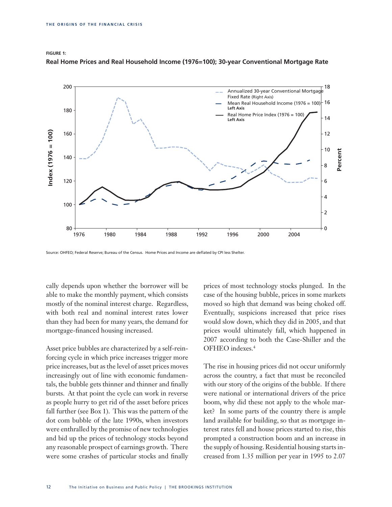

**Figure 1: Real Home Prices and Real Household Income (1976=100); 30-year Conventional Mortgage Rate**

Source: OHFEO; Federal Reserve; Bureau of the Census. Home Prices and Income are deflated by CPI less Shelter.

cally depends upon whether the borrower will be able to make the monthly payment, which consists mostly of the nominal interest charge. Regardless, with both real and nominal interest rates lower than they had been for many years, the demand for mortgage-financed housing increased.

Asset price bubbles are characterized by a self-reinforcing cycle in which price increases trigger more price increases, but as the level of asset prices moves increasingly out of line with economic fundamentals, the bubble gets thinner and thinner and finally bursts. At that point the cycle can work in reverse as people hurry to get rid of the asset before prices fall further (see Box 1). This was the pattern of the dot com bubble of the late 1990s, when investors were enthralled by the promise of new technologies and bid up the prices of technology stocks beyond any reasonable prospect of earnings growth. There were some crashes of particular stocks and finally

prices of most technology stocks plunged. In the case of the housing bubble, prices in some markets moved so high that demand was being choked off. Eventually, suspicions increased that price rises would slow down, which they did in 2005, and that prices would ultimately fall, which happened in 2007 according to both the Case-Shiller and the OFHEO indexes.4

The rise in housing prices did not occur uniformly across the country, a fact that must be reconciled with our story of the origins of the bubble. If there were national or international drivers of the price boom, why did these not apply to the whole market? In some parts of the country there is ample land available for building, so that as mortgage interest rates fell and house prices started to rise, this prompted a construction boom and an increase in the supply of housing. Residential housing starts increased from 1.35 million per year in 1995 to 2.07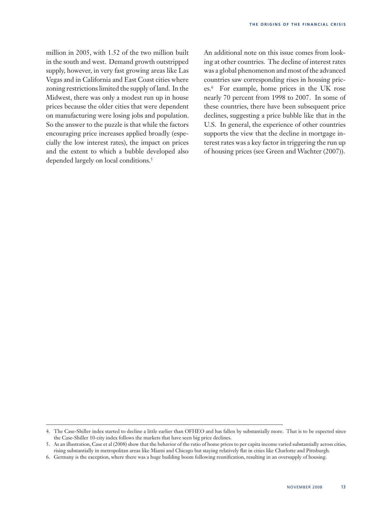million in 2005, with 1.52 of the two million built in the south and west. Demand growth outstripped supply, however, in very fast growing areas like Las Vegas and in California and East Coast cities where zoning restrictions limited the supply of land. In the Midwest, there was only a modest run up in house prices because the older cities that were dependent on manufacturing were losing jobs and population. So the answer to the puzzle is that while the factors encouraging price increases applied broadly (especially the low interest rates), the impact on prices and the extent to which a bubble developed also depended largely on local conditions.<sup>5</sup>

An additional note on this issue comes from looking at other countries. The decline of interest rates was a global phenomenon and most of the advanced countries saw corresponding rises in housing prices.6 For example, home prices in the UK rose nearly 70 percent from 1998 to 2007. In some of these countries, there have been subsequent price declines, suggesting a price bubble like that in the U.S. In general, the experience of other countries supports the view that the decline in mortgage interest rates was a key factor in triggering the run up of housing prices (see Green and Wachter (2007)).

<sup>4.</sup> The Case-Shiller index started to decline a little earlier than OFHEO and has fallen by substantially more. That is to be expected since the Case-Shiller 10-city index follows the markets that have seen big price declines.

<sup>5.</sup> As an illustration, Case et al (2008) show that the behavior of the ratio of home prices to per capita income varied substantially across cities, rising substantially in metropolitan areas like Miami and Chicago but staying relatively flat in cities like Charlotte and Pittsburgh.

<sup>6.</sup> Germany is the exception, where there was a huge building boom following reunification, resulting in an oversupply of housing.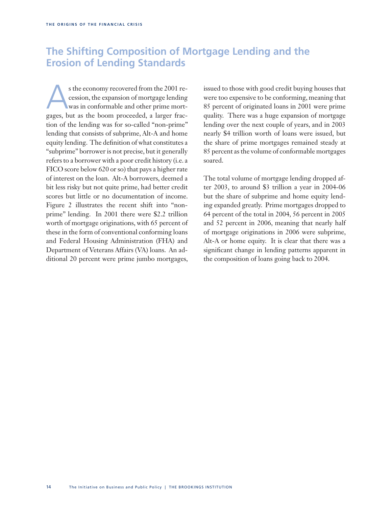# **The Shifting Composition of Mortgage Lending and the Erosion of Lending Standards**

s the economy recovered from the 2001 re-<br>cession, the expansion of mortgage lending<br>was in conformable and other prime mort-<br>games but as the boom proceeded a larger free. cession, the expansion of mortgage lending was in conformable and other prime mortgages, but as the boom proceeded, a larger fraction of the lending was for so-called "non-prime" lending that consists of subprime, Alt-A and home equity lending. The definition of what constitutes a "subprime" borrower is not precise, but it generally refers to a borrower with a poor credit history (i.e. a FICO score below 620 or so) that pays a higher rate of interest on the loan. Alt-A borrowers, deemed a bit less risky but not quite prime, had better credit scores but little or no documentation of income. Figure 2 illustrates the recent shift into "nonprime" lending. In 2001 there were \$2.2 trillion worth of mortgage originations, with 65 percent of these in the form of conventional conforming loans and Federal Housing Administration (FHA) and Department of Veterans Affairs (VA) loans. An additional 20 percent were prime jumbo mortgages,

issued to those with good credit buying houses that were too expensive to be conforming, meaning that 85 percent of originated loans in 2001 were prime quality. There was a huge expansion of mortgage lending over the next couple of years, and in 2003 nearly \$4 trillion worth of loans were issued, but the share of prime mortgages remained steady at 85 percent as the volume of conformable mortgages soared.

The total volume of mortgage lending dropped after 2003, to around \$3 trillion a year in 2004-06 but the share of subprime and home equity lending expanded greatly. Prime mortgages dropped to 64 percent of the total in 2004, 56 percent in 2005 and 52 percent in 2006, meaning that nearly half of mortgage originations in 2006 were subprime, Alt-A or home equity. It is clear that there was a significant change in lending patterns apparent in the composition of loans going back to 2004.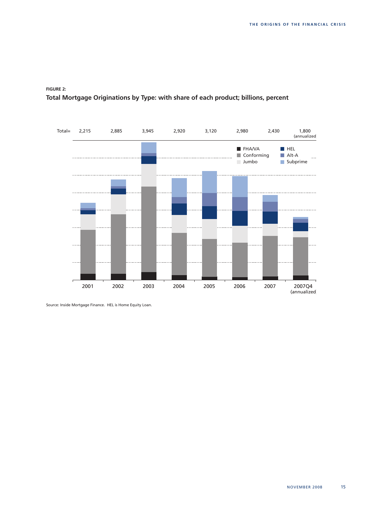

# **Figure 2: Total Mortgage Originations by Type: with share of each product; billions, percent**

Source: Inside Mortgage Finance. HEL is Home Equity Loan.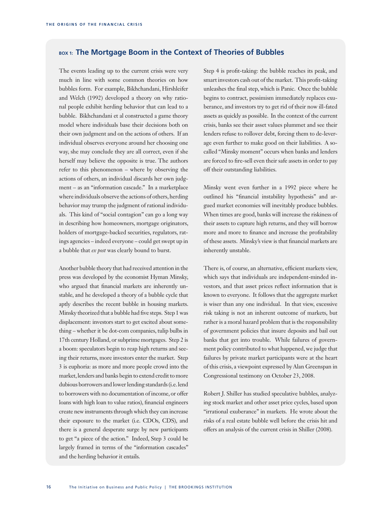### **Box 1: The Mortgage Boom in the Context of Theories of Bubbles**

The events leading up to the current crisis were very much in line with some common theories on how bubbles form. For example, Bikhchandani, Hirshleifer and Welch (1992) developed a theory on why rational people exhibit herding behavior that can lead to a bubble. Bikhchandani et al constructed a game theory model where individuals base their decisions both on their own judgment and on the actions of others. If an individual observes everyone around her choosing one way, she may conclude they are all correct, even if she herself may believe the opposite is true. The authors refer to this phenomenon – where by observing the actions of others, an individual discards her own judgment – as an "information cascade." In a marketplace where individuals observe the actions of others, herding behavior may trump the judgment of rational individuals. This kind of "social contagion" can go a long way in describing how homeowners, mortgage originators, holders of mortgage-backed securities, regulators, ratings agencies – indeed everyone – could get swept up in a bubble that *ex post* was clearly bound to burst.

Another bubble theory that had received attention in the press was developed by the economist Hyman Minsky, who argued that financial markets are inherently unstable, and he developed a theory of a bubble cycle that aptly describes the recent bubble in housing markets. Minsky theorized that a bubble had five steps. Step 1 was displacement: investors start to get excited about something – whether it be dot-com companies, tulip bulbs in 17th century Holland, or subprime mortgages. Step 2 is a boom: speculators begin to reap high returns and seeing their returns, more investors enter the market. Step 3 is euphoria: as more and more people crowd into the market, lenders and banks begin to extend credit to more dubious borrowers and lower lending standards (i.e. lend to borrowers with no documentation of income, or offer loans with high loan to value ratios), financial engineers create new instruments through which they can increase their exposure to the market (i.e. CDOs, CDS), and there is a general desperate surge by new participants to get "a piece of the action." Indeed, Step 3 could be largely framed in terms of the "information cascades" and the herding behavior it entails.

Step 4 is profit-taking: the bubble reaches its peak, and smart investors cash out of the market. This profit-taking unleashes the final step, which is Panic. Once the bubble begins to contract, pessimism immediately replaces exuberance, and investors try to get rid of their now ill-fated assets as quickly as possible. In the context of the current crisis, banks see their asset values plummet and see their lenders refuse to rollover debt, forcing them to de-leverage even further to make good on their liabilities. A socalled "Minsky moment" occurs when banks and lenders are forced to fire-sell even their safe assets in order to pay off their outstanding liabilities.

Minsky went even further in a 1992 piece where he outlined his "financial instability hypothesis" and argued market economies will inevitably produce bubbles. When times are good, banks will increase the riskiness of their assets to capture high returns, and they will borrow more and more to finance and increase the profitability of these assets. Minsky's view is that financial markets are inherently unstable.

There is, of course, an alternative, efficient markets view, which says that individuals are independent-minded investors, and that asset prices reflect information that is known to everyone. It follows that the aggregate market is wiser than any one individual. In that view, excessive risk taking is not an inherent outcome of markets, but rather is a moral hazard problem that is the responsibility of government policies that insure deposits and bail out banks that get into trouble. While failures of government policy contributed to what happened, we judge that failures by private market participants were at the heart of this crisis, a viewpoint expressed by Alan Greenspan in Congressional testimony on October 23, 2008.

Robert J. Shiller has studied speculative bubbles, analyzing stock market and other asset price cycles, based upon "irrational exuberance" in markets. He wrote about the risks of a real estate bubble well before the crisis hit and offers an analysis of the current crisis in Shiller (2008).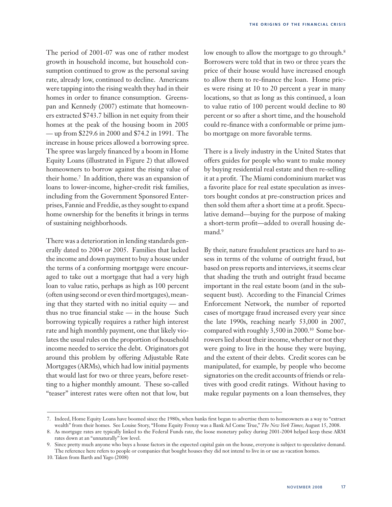The period of 2001-07 was one of rather modest growth in household income, but household consumption continued to grow as the personal saving rate, already low, continued to decline. Americans were tapping into the rising wealth they had in their homes in order to finance consumption. Greenspan and Kennedy (2007) estimate that homeowners extracted \$743.7 billion in net equity from their homes at the peak of the housing boom in 2005 — up from \$229.6 in 2000 and \$74.2 in 1991. The increase in house prices allowed a borrowing spree. The spree was largely financed by a boom in Home Equity Loans (illustrated in Figure 2) that allowed homeowners to borrow against the rising value of their home.7 In addition, there was an expansion of loans to lower-income, higher-credit risk families, including from the Government Sponsored Enterprises, Fannie and Freddie, as they sought to expand home ownership for the benefits it brings in terms of sustaining neighborhoods.

There was a deterioration in lending standards generally dated to 2004 or 2005. Families that lacked the income and down payment to buy a house under the terms of a conforming mortgage were encouraged to take out a mortgage that had a very high loan to value ratio, perhaps as high as 100 percent (often using second or even third mortgages), meaning that they started with no initial equity — and thus no true financial stake — in the house Such borrowing typically requires a rather high interest rate and high monthly payment, one that likely violates the usual rules on the proportion of household income needed to service the debt. Originators got around this problem by offering Adjustable Rate Mortgages (ARMs), which had low initial payments that would last for two or three years, before resetting to a higher monthly amount. These so-called "teaser" interest rates were often not that low, but low enough to allow the mortgage to go through.<sup>8</sup> Borrowers were told that in two or three years the price of their house would have increased enough to allow them to re-finance the loan. Home prices were rising at 10 to 20 percent a year in many locations, so that as long as this continued, a loan to value ratio of 100 percent would decline to 80 percent or so after a short time, and the household could re-finance with a conformable or prime jumbo mortgage on more favorable terms.

There is a lively industry in the United States that offers guides for people who want to make money by buying residential real estate and then re-selling it at a profit. The Miami condominium market was a favorite place for real estate speculation as investors bought condos at pre-construction prices and then sold them after a short time at a profit. Speculative demand—buying for the purpose of making a short-term profit—added to overall housing demand.<sup>9</sup>

By their, nature fraudulent practices are hard to assess in terms of the volume of outright fraud, but based on press reports and interviews, it seems clear that shading the truth and outright fraud became important in the real estate boom (and in the subsequent bust). According to the Financial Crimes Enforcement Network, the number of reported cases of mortgage fraud increased every year since the late 1990s, reaching nearly 53,000 in 2007, compared with roughly 3,500 in 2000.10 Some borrowers lied about their income, whether or not they were going to live in the house they were buying, and the extent of their debts. Credit scores can be manipulated, for example, by people who become signatories on the credit accounts of friends or relatives with good credit ratings. Without having to make regular payments on a loan themselves, they

<sup>7.</sup> Indeed, Home Equity Loans have boomed since the 1980s, when banks first began to advertise them to homeowners as a way to "extract wealth" from their homes. See Louise Story, "Home Equity Frenzy was a Bank Ad Come True," *The New York Times*; August 15, 2008.

<sup>8.</sup> As mortgage rates are typically linked to the Federal Funds rate, the loose monetary policy during 2001-2004 helped keep these ARM rates down at an "unnaturally" low level.

<sup>9.</sup> Since pretty much anyone who buys a house factors in the expected capital gain on the house, everyone is subject to speculative demand. The reference here refers to people or companies that bought houses they did not intend to live in or use as vacation homes.

<sup>10.</sup> Taken from Barth and Yago (2008)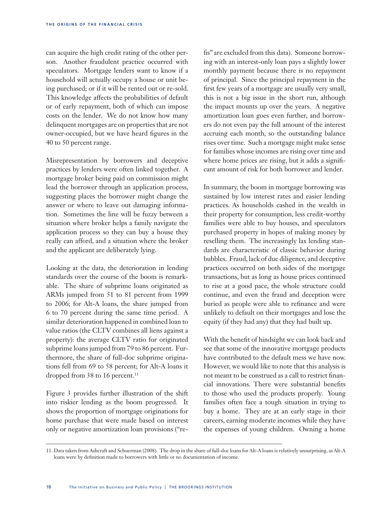can acquire the high credit rating of the other person. Another fraudulent practice occurred with speculators. Mortgage lenders want to know if a household will actually occupy a house or unit being purchased; or if it will be rented out or re-sold. This knowledge affects the probabilities of default or of early repayment, both of which can impose costs on the lender. We do not know how many delinquent mortgages are on properties that are not owner-occupied, but we have heard figures in the 40 to 50 percent range.

Misrepresentation by borrowers and deceptive practices by lenders were often linked together. A mortgage broker being paid on commission might lead the borrower through an application process, suggesting places the borrower might change the answer or where to leave out damaging information. Sometimes the line will be fuzzy between a situation where broker helps a family navigate the application process so they can buy a house they really can afford, and a situation where the broker and the applicant are deliberately lying.

Looking at the data, the deterioration in lending standards over the course of the boom is remarkable. The share of subprime loans originated as ARMs jumped from 51 to 81 percent from 1999 to 2006; for Alt-A loans, the share jumped from 6 to 70 percent during the same time period. A similar deterioration happened in combined loan to value ratios (the CLTV combines all liens against a property): the average CLTV ratio for originated subprime loans jumped from 79 to 86 percent. Furthermore, the share of full-doc subprime originations fell from 69 to 58 percent; for Alt-A loans it dropped from 38 to 16 percent.<sup>11</sup>

Figure 3 provides further illustration of the shift into riskier lending as the boom progressed. It shows the proportion of mortgage originations for home purchase that were made based on interest only or negative amortization loan provisions ("refis" are excluded from this data). Someone borrowing with an interest-only loan pays a slightly lower monthly payment because there is no repayment of principal. Since the principal repayment in the first few years of a mortgage are usually very small, this is not a big issue in the short run, although the impact mounts up over the years. A negative amortization loan goes even further, and borrowers do not even pay the full amount of the interest accruing each month, so the outstanding balance rises over time. Such a mortgage might make sense for families whose incomes are rising over time and where home prices are rising, but it adds a significant amount of risk for both borrower and lender.

In summary, the boom in mortgage borrowing was sustained by low interest rates and easier lending practices. As households cashed in the wealth in their property for consumption, less credit-worthy families were able to buy houses, and speculators purchased property in hopes of making money by reselling them. The increasingly lax lending standards are characteristic of classic behavior during bubbles. Fraud, lack of due diligence, and deceptive practices occurred on both sides of the mortgage transactions, but as long as house prices continued to rise at a good pace, the whole structure could continue, and even the fraud and deception were buried as people were able to refinance and were unlikely to default on their mortgages and lose the equity (if they had any) that they had built up.

With the benefit of hindsight we can look back and see that some of the innovative mortgage products have contributed to the default mess we have now. However, we would like to note that this analysis is not meant to be construed as a call to restrict financial innovations. There were substantial benefits to those who used the products properly. Young families often face a tough situation in trying to buy a home. They are at an early stage in their careers, earning moderate incomes while they have the expenses of young children. Owning a home

<sup>11.</sup> Data taken from Ashcraft and Schuerman (2008). The drop in the share of full-doc loans for Alt-A loans is relatively unsurprising, as Alt-A loans were by definition made to borrowers with little or no documentation of income.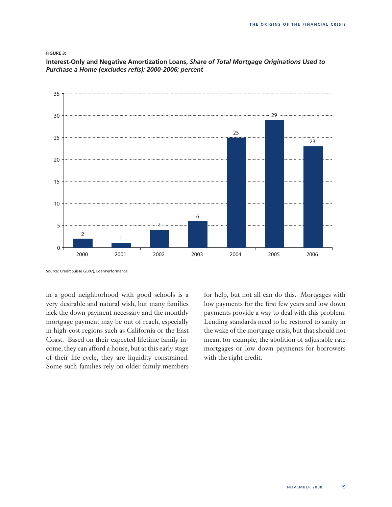### **Figure 3:**

2000 2001 2002 2003 2004 2005 2006 0 5 10 15 20 25 30 35 2 1 4 6 25 29 23

**Interest-Only and Negative Amortization Loans,** *Share of Total Mortgage Originations Used to Purchase a Home (excludes refis): 2000-2006; percent*

in a good neighborhood with good schools is a very desirable and natural wish, but many families lack the down payment necessary and the monthly mortgage payment may be out of reach, especially in high-cost regions such as California or the East Coast. Based on their expected lifetime family income, they can afford a house, but at this early stage of their life-cycle, they are liquidity constrained. Some such families rely on older family members

for help, but not all can do this. Mortgages with low payments for the first few years and low down payments provide a way to deal with this problem. Lending standards need to be restored to sanity in the wake of the mortgage crisis, but that should not mean, for example, the abolition of adjustable rate mortgages or low down payments for borrowers with the right credit.

Source: Credit Suisse (2007), LoanPerformance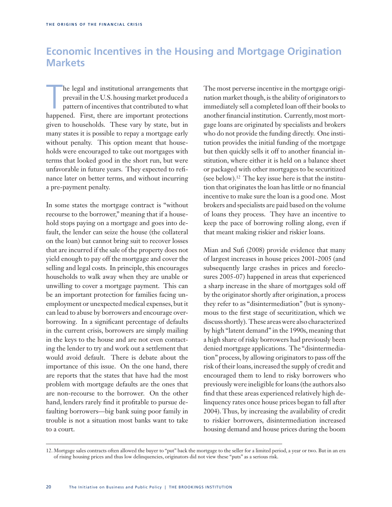# **Economic Incentives in the Housing and Mortgage Origination Markets**

he legal and institutional arrangements that<br>prevail in the U.S. housing market produced a<br>pattern of incentives that contributed to what<br>happened. First, there are important protections he legal and institutional arrangements that prevail in the U.S. housing market produced a pattern of incentives that contributed to what given to households. These vary by state, but in many states it is possible to repay a mortgage early without penalty. This option meant that households were encouraged to take out mortgages with terms that looked good in the short run, but were unfavorable in future years. They expected to refinance later on better terms, and without incurring a pre-payment penalty.

In some states the mortgage contract is "without recourse to the borrower," meaning that if a household stops paying on a mortgage and goes into default, the lender can seize the house (the collateral on the loan) but cannot bring suit to recover losses that are incurred if the sale of the property does not yield enough to pay off the mortgage and cover the selling and legal costs. In principle, this encourages households to walk away when they are unable or unwilling to cover a mortgage payment. This can be an important protection for families facing unemployment or unexpected medical expenses, but it can lead to abuse by borrowers and encourage overborrowing. In a significant percentage of defaults in the current crisis, borrowers are simply mailing in the keys to the house and are not even contacting the lender to try and work out a settlement that would avoid default. There is debate about the importance of this issue. On the one hand, there are reports that the states that have had the most problem with mortgage defaults are the ones that are non-recourse to the borrower. On the other hand, lenders rarely find it profitable to pursue defaulting borrowers—big bank suing poor family in trouble is not a situation most banks want to take to a court.

The most perverse incentive in the mortgage origination market though, is the ability of originators to immediately sell a completed loan off their books to another financial institution. Currently, most mortgage loans are originated by specialists and brokers who do not provide the funding directly. One institution provides the initial funding of the mortgage but then quickly sells it off to another financial institution, where either it is held on a balance sheet or packaged with other mortgages to be securitized (see below).12 The key issue here is that the institution that originates the loan has little or no financial incentive to make sure the loan is a good one. Most brokers and specialists are paid based on the volume of loans they process. They have an incentive to keep the pace of borrowing rolling along, even if that meant making riskier and riskier loans.

Mian and Sufi (2008) provide evidence that many of largest increases in house prices 2001-2005 (and subsequently large crashes in prices and foreclosures 2005-07) happened in areas that experienced a sharp increase in the share of mortgages sold off by the originator shortly after origination, a process they refer to as "disintermediation" (but is synonymous to the first stage of securitization, which we discuss shortly). These areas were also characterized by high "latent demand" in the 1990s, meaning that a high share of risky borrowers had previously been denied mortgage applications. The "disintermediation" process, by allowing originators to pass off the risk of their loans, increased the supply of credit and encouraged them to lend to risky borrowers who previously were ineligible for loans (the authors also find that these areas experienced relatively high delinquency rates once house prices began to fall after 2004). Thus, by increasing the availability of credit to riskier borrowers, disintermediation increased housing demand and house prices during the boom

<sup>12.</sup> Mortgage sales contracts often allowed the buyer to "put" back the mortgage to the seller for a limited period, a year or two. But in an era of rising housing prices and thus low delinquencies, originators did not view these "puts" as a serious risk.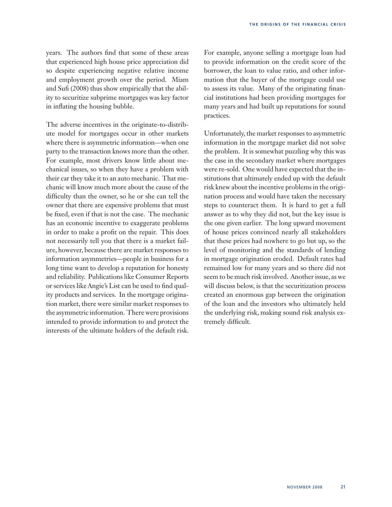years. The authors find that some of these areas that experienced high house price appreciation did so despite experiencing negative relative income and employment growth over the period. Miam and Sufi (2008) thus show empirically that the ability to securitize subprime mortgages was key factor in inflating the housing bubble.

The adverse incentives in the originate-to-distribute model for mortgages occur in other markets where there is asymmetric information—when one party to the transaction knows more than the other. For example, most drivers know little about mechanical issues, so when they have a problem with their car they take it to an auto mechanic. That mechanic will know much more about the cause of the difficulty than the owner, so he or she can tell the owner that there are expensive problems that must be fixed, even if that is not the case. The mechanic has an economic incentive to exaggerate problems in order to make a profit on the repair. This does not necessarily tell you that there is a market failure, however, because there are market responses to information asymmetries—people in business for a long time want to develop a reputation for honesty and reliability. Publications like Consumer Reports or services like Angie's List can be used to find quality products and services. In the mortgage origination market, there were similar market responses to the asymmetric information. There were provisions intended to provide information to and protect the interests of the ultimate holders of the default risk. For example, anyone selling a mortgage loan had to provide information on the credit score of the borrower, the loan to value ratio, and other information that the buyer of the mortgage could use to assess its value. Many of the originating financial institutions had been providing mortgages for many years and had built up reputations for sound practices.

Unfortunately, the market responses to asymmetric information in the mortgage market did not solve the problem. It is somewhat puzzling why this was the case in the secondary market where mortgages were re-sold. One would have expected that the institutions that ultimately ended up with the default risk knew about the incentive problems in the origination process and would have taken the necessary steps to counteract them. It is hard to get a full answer as to why they did not, but the key issue is the one given earlier. The long upward movement of house prices convinced nearly all stakeholders that these prices had nowhere to go but up, so the level of monitoring and the standards of lending in mortgage origination eroded. Default rates had remained low for many years and so there did not seem to be much risk involved. Another issue, as we will discuss below, is that the securitization process created an enormous gap between the origination of the loan and the investors who ultimately held the underlying risk, making sound risk analysis extremely difficult.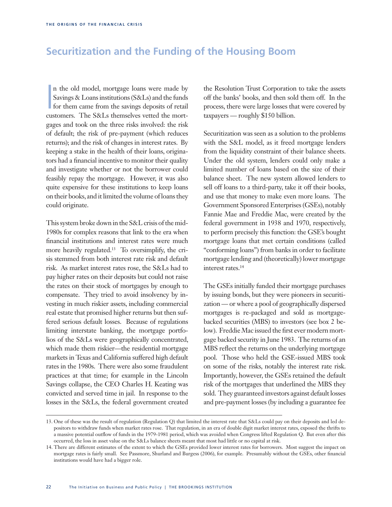# **Securitization and the Funding of the Housing Boom**

**I** n the old model, mortgage loans were made by Savings & Loans institutions (S&Ls) and the funds for them came from the savings deposits of retail customers. The S&Ls themselves vetted the mortgages and took on the three risks involved: the risk of default; the risk of pre-payment (which reduces returns); and the risk of changes in interest rates. By keeping a stake in the health of their loans, originators had a financial incentive to monitor their quality and investigate whether or not the borrower could feasibly repay the mortgage. However, it was also quite expensive for these institutions to keep loans on their books, and it limited the volume of loans they could originate.

This system broke down in the S&L crisis of the mid-1980s for complex reasons that link to the era when financial institutions and interest rates were much more heavily regulated.13 To oversimplify, the crisis stemmed from both interest rate risk and default risk. As market interest rates rose, the S&Ls had to pay higher rates on their deposits but could not raise the rates on their stock of mortgages by enough to compensate. They tried to avoid insolvency by investing in much riskier assets, including commercial real estate that promised higher returns but then suffered serious default losses. Because of regulations limiting interstate banking, the mortgage portfolios of the S&Ls were geographically concentrated, which made them riskier—the residential mortgage markets in Texas and California suffered high default rates in the 1980s. There were also some fraudulent practices at that time; for example in the Lincoln Savings collapse, the CEO Charles H. Keating was convicted and served time in jail. In response to the losses in the S&Ls, the federal government created

the Resolution Trust Corporation to take the assets off the banks' books, and then sold them off. In the process, there were large losses that were covered by taxpayers — roughly \$150 billion.

Securitization was seen as a solution to the problems with the S&L model, as it freed mortgage lenders from the liquidity constraint of their balance sheets. Under the old system, lenders could only make a limited number of loans based on the size of their balance sheet. The new system allowed lenders to sell off loans to a third-party, take it off their books, and use that money to make even more loans. The Government Sponsored Enterprises (GSEs), notably Fannie Mae and Freddie Mac, were created by the federal government in 1938 and 1970, respectively, to perform precisely this function: the GSE's bought mortgage loans that met certain conditions (called "conforming loans") from banks in order to facilitate mortgage lending and (theoretically) lower mortgage interest rates.14

The GSEs initially funded their mortgage purchases by issuing bonds, but they were pioneers in securitization — or where a pool of geographically dispersed mortgages is re-packaged and sold as mortgagebacked securities (MBS) to investors (see box 2 below). Freddie Mac issued the first ever modern mortgage backed security in June 1983. The returns of an MBS reflect the returns on the underlying mortgage pool. Those who held the GSE-issued MBS took on some of the risks, notably the interest rate risk. Importantly, however, the GSEs retained the default risk of the mortgages that underlined the MBS they sold. They guaranteed investors against default losses and pre-payment losses (by including a guarantee fee

<sup>13.</sup> One of these was the result of regulation (Regulation Q) that limited the interest rate that S&Ls could pay on their deposits and led depositors to withdraw funds when market rates rose. That regulation, in an era of double digit market interest rates, exposed the thrifts to a massive potential outflow of funds in the 1979-1981 period, which was avoided when Congress lifted Regulation Q. But even after this occurred, the loss in asset value on the S&Ls balance sheets meant that most had little or no capital at risk.

<sup>14.</sup> There are different estimates of the extent to which the GSEs provided lower interest rates for borrowers. Most suggest the impact on mortgage rates is fairly small. See Passmore, Shurland and Burgess (2006), for example. Presumably without the GSEs, other financial institutions would have had a bigger role.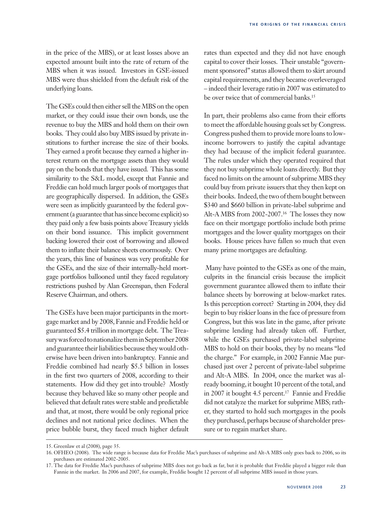in the price of the MBS), or at least losses above an expected amount built into the rate of return of the MBS when it was issued. Investors in GSE-issued MBS were thus shielded from the default risk of the underlying loans.

The GSEs could then either sell the MBS on the open market, or they could issue their own bonds, use the revenue to buy the MBS and hold them on their own books. They could also buy MBS issued by private institutions to further increase the size of their books. They earned a profit because they earned a higher interest return on the mortgage assets than they would pay on the bonds that they have issued. This has some similarity to the S&L model, except that Fannie and Freddie can hold much larger pools of mortgages that are geographically dispersed. In addition, the GSEs were seen as implicitly guaranteed by the federal government (a guarantee that has since become explicit) so they paid only a few basis points above Treasury yields on their bond issuance. This implicit government backing lowered their cost of borrowing and allowed them to inflate their balance sheets enormously. Over the years, this line of business was very profitable for the GSEs, and the size of their internally-held mortgage portfolios ballooned until they faced regulatory restrictions pushed by Alan Greenspan, then Federal Reserve Chairman, and others.

The GSEs have been major participants in the mortgage market and by 2008, Fannie and Freddie held or guaranteed \$5.4 trillion in mortgage debt. The Treasury was forced to nationalize them in September 2008 and guarantee their liabilities because they would otherwise have been driven into bankruptcy. Fannie and Freddie combined had nearly \$5.5 billion in losses in the first two quarters of 2008, according to their statements. How did they get into trouble? Mostly because they behaved like so many other people and believed that default rates were stable and predictable and that, at most, there would be only regional price declines and not national price declines. When the price bubble burst, they faced much higher default rates than expected and they did not have enough capital to cover their losses. Their unstable "government sponsored" status allowed them to skirt around capital requirements, and they became overleveraged – indeed their leverage ratio in 2007 was estimated to be over twice that of commercial banks.<sup>15</sup>

In part, their problems also came from their efforts to meet the affordable housing goals set by Congress. Congress pushed them to provide more loans to lowincome borrowers to justify the capital advantage they had because of the implicit federal guarantee. The rules under which they operated required that they not buy subprime whole loans directly. But they faced no limits on the amount of subprime MBS they could buy from private issuers that they then kept on their books. Indeed, the two of them bought between \$340 and \$660 billion in private-label subprime and Alt-A MBS from 2002-2007.16 The losses they now face on their mortgage portfolio include both prime mortgages and the lower quality mortgages on their books. House prices have fallen so much that even many prime mortgages are defaulting.

 Many have pointed to the GSEs as one of the main, culprits in the financial crisis because the implicit government guarantee allowed them to inflate their balance sheets by borrowing at below-market rates. Is this perception correct? Starting in 2004, they did begin to buy riskier loans in the face of pressure from Congress, but this was late in the game, after private subprime lending had already taken off. Further, while the GSEs purchased private-label subprime MBS to hold on their books, they by no means "led the charge." For example, in 2002 Fannie Mae purchased just over 2 percent of private-label subprime and Alt-A MBS. In 2004, once the market was already booming, it bought 10 percent of the total, and in 2007 it bought 4.5 percent.17 Fannie and Freddie did not catalyze the market for subprime MBS; rather, they started to hold such mortgages in the pools they purchased, perhaps because of shareholder pressure or to regain market share.

<sup>15.</sup> Greenlaw et al (2008), page 35.

<sup>16.</sup> OFHEO (2008). The wide range is because data for Freddie Mac's purchases of subprime and Alt-A MBS only goes back to 2006, so its purchases are estimated 2002-2005.

<sup>17.</sup> The data for Freddie Mac's purchases of subprime MBS does not go back as far, but it is probable that Freddie played a bigger role than Fannie in the market. In 2006 and 2007, for example, Freddie bought 12 percent of all subprime MBS issued in those years.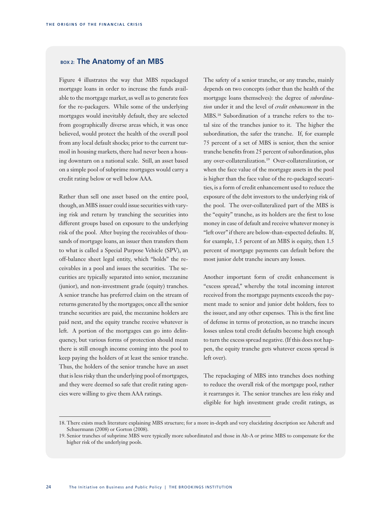### BOX 2: The Anatomy of an MBS

Figure 4 illustrates the way that MBS repackaged mortgage loans in order to increase the funds available to the mortgage market, as well as to generate fees for the re-packagers. While some of the underlying mortgages would inevitably default, they are selected from geographically diverse areas which, it was once believed, would protect the health of the overall pool from any local default shocks; prior to the current turmoil in housing markets, there had never been a housing downturn on a national scale. Still, an asset based on a simple pool of subprime mortgages would carry a credit rating below or well below AAA.

Rather than sell one asset based on the entire pool, though, an MBS issuer could issue securities with varying risk and return by tranching the securities into different groups based on exposure to the underlying risk of the pool. After buying the receivables of thousands of mortgage loans, an issuer then transfers them to what is called a Special Purpose Vehicle (SPV), an off-balance sheet legal entity, which "holds" the receivables in a pool and issues the securities. The securities are typically separated into senior, mezzanine (junior), and non-investment grade (equity) tranches. A senior tranche has preferred claim on the stream of returns generated by the mortgages; once all the senior tranche securities are paid, the mezzanine holders are paid next, and the equity tranche receive whatever is left. A portion of the mortgages can go into delinquency, but various forms of protection should mean there is still enough income coming into the pool to keep paying the holders of at least the senior tranche. Thus, the holders of the senior tranche have an asset that is less risky than the underlying pool of mortgages, and they were deemed so safe that credit rating agencies were willing to give them AAA ratings.

The safety of a senior tranche, or any tranche, mainly depends on two concepts (other than the health of the mortgage loans themselves): the degree of *subordination* under it and the level of *credit enhancement* in the MBS.18 Subordination of a tranche refers to the total size of the tranches junior to it. The higher the subordination, the safer the tranche. If, for example 75 percent of a set of MBS is senior, then the senior tranche benefits from 25 percent of subordination, plus any over-collateralization.19 Over-collateralization, or when the face value of the mortgage assets in the pool is higher than the face value of the re-packaged securities, is a form of credit enhancement used to reduce the exposure of the debt investors to the underlying risk of the pool. The over-collateralized part of the MBS is the "equity" tranche, as its holders are the first to lose money in case of default and receive whatever money is "left over" if there are below-than-expected defaults. If, for example, 1.5 percent of an MBS is equity, then 1.5 percent of mortgage payments can default before the most junior debt tranche incurs any losses.

Another important form of credit enhancement is "excess spread," whereby the total incoming interest received from the mortgage payments exceeds the payment made to senior and junior debt holders, fees to the issuer, and any other expenses. This is the first line of defense in terms of protection, as no tranche incurs losses unless total credit defaults become high enough to turn the excess spread negative. (If this does not happen, the equity tranche gets whatever excess spread is left over).

The repackaging of MBS into tranches does nothing to reduce the overall risk of the mortgage pool, rather it rearranges it. The senior tranches are less risky and eligible for high investment grade credit ratings, as

<sup>18.</sup> There exists much literature explaining MBS structure; for a more in-depth and very elucidating description see Ashcraft and Schuermann (2008) or Gorton (2008).

<sup>19.</sup> Senior tranches of subprime MBS were typically more subordinated and those in Alt-A or prime MBS to compensate for the higher risk of the underlying pools.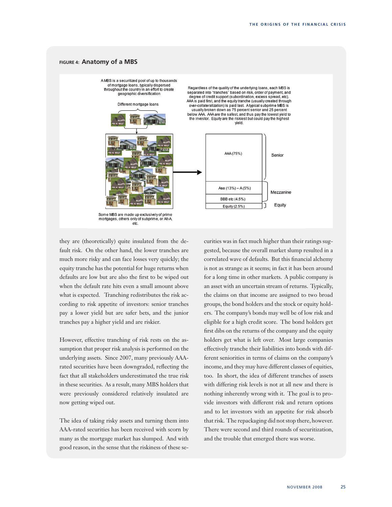### **Figure 4: Anatomy of a MBS**



mortgages, others only of subprime, or Alt-A, etc.

they are (theoretically) quite insulated from the default risk. On the other hand, the lower tranches are much more risky and can face losses very quickly; the equity tranche has the potential for huge returns when defaults are low but are also the first to be wiped out when the default rate hits even a small amount above what is expected. Tranching redistributes the risk according to risk appetite of investors: senior tranches pay a lower yield but are safer bets, and the junior tranches pay a higher yield and are riskier.

However, effective tranching of risk rests on the assumption that proper risk analysis is performed on the underlying assets. Since 2007, many previously AAArated securities have been downgraded, reflecting the fact that all stakeholders underestimated the true risk in these securities. As a result, many MBS holders that were previously considered relatively insulated are now getting wiped out.

The idea of taking risky assets and turning them into AAA-rated securities has been received with scorn by many as the mortgage market has slumped. And with good reason, in the sense that the riskiness of these securities was in fact much higher than their ratings suggested, because the overall market slump resulted in a correlated wave of defaults. But this financial alchemy is not as strange as it seems; in fact it has been around for a long time in other markets. A public company is an asset with an uncertain stream of returns. Typically, the claims on that income are assigned to two broad groups, the bond holders and the stock or equity holders. The company's bonds may well be of low risk and eligible for a high credit score. The bond holders get first dibs on the returns of the company and the equity holders get what is left over. Most large companies effectively tranche their liabilities into bonds with different seniorities in terms of claims on the company's income, and they may have different classes of equities, too. In short, the idea of different tranches of assets with differing risk levels is not at all new and there is nothing inherently wrong with it. The goal is to provide investors with different risk and return options and to let investors with an appetite for risk absorb that risk. The repackaging did not stop there, however. There were second and third rounds of securitization, and the trouble that emerged there was worse.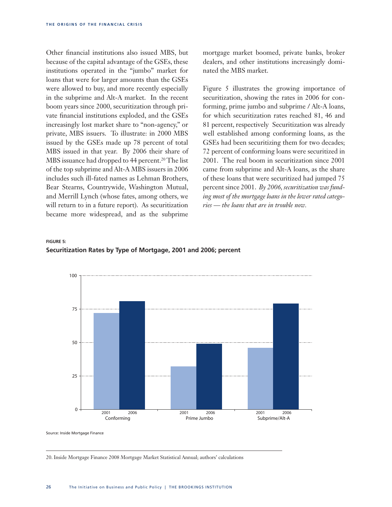Other financial institutions also issued MBS, but because of the capital advantage of the GSEs, these institutions operated in the "jumbo" market for loans that were for larger amounts than the GSEs were allowed to buy, and more recently especially in the subprime and Alt-A market. In the recent boom years since 2000, securitization through private financial institutions exploded, and the GSEs increasingly lost market share to "non-agency," or private, MBS issuers. To illustrate: in 2000 MBS issued by the GSEs made up 78 percent of total MBS issued in that year. By 2006 their share of MBS issuance had dropped to 44 percent.<sup>20</sup> The list of the top subprime and Alt-A MBS issuers in 2006 includes such ill-fated names as Lehman Brothers, Bear Stearns, Countrywide, Washington Mutual, and Merrill Lynch (whose fates, among others, we will return to in a future report). As securitization became more widespread, and as the subprime

mortgage market boomed, private banks, broker dealers, and other institutions increasingly dominated the MBS market.

Figure 5 illustrates the growing importance of securitization, showing the rates in 2006 for conforming, prime jumbo and subprime / Alt-A loans, for which securitization rates reached 81, 46 and 81 percent, respectively Securitization was already well established among conforming loans, as the GSEs had been securitizing them for two decades; 72 percent of conforming loans were securitized in 2001. The real boom in securitization since 2001 came from subprime and Alt-A loans, as the share of these loans that were securitized had jumped 75 percent since 2001. *By 2006, securitization was funding most of the mortgage loans in the lower rated categories — the loans that are in trouble now.*

### **Figure 5: Securitization Rates by Type of Mortgage, 2001 and 2006; percent**



Source: Inside Mortgage Finance

20. Inside Mortgage Finance 2008 Mortgage Market Statistical Annual; authors' calculations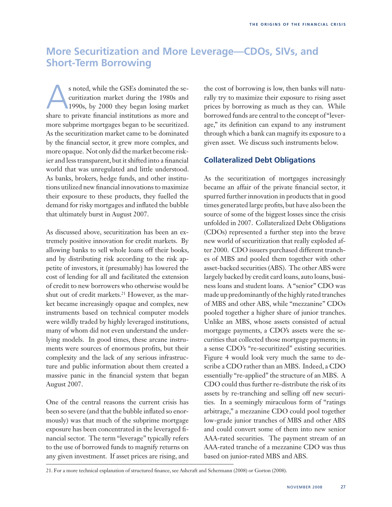# **More Securitization and More Leverage—CDOs, SIVs, and Short-Term Borrowing**

s noted, while the GSEs dominated the se-<br>curitization market during the 1980s and<br>1990s, by 2000 they began losing market curitization market during the 1980s and 1990s, by 2000 they began losing market share to private financial institutions as more and more subprime mortgages began to be securitized. As the securitization market came to be dominated by the financial sector, it grew more complex, and more opaque. Not only did the market become riskier and less transparent, but it shifted into a financial world that was unregulated and little understood. As banks, brokers, hedge funds, and other institutions utilized new financial innovations to maximize their exposure to these products, they fuelled the demand for risky mortgages and inflated the bubble that ultimately burst in August 2007.

As discussed above, securitization has been an extremely positive innovation for credit markets. By allowing banks to sell whole loans off their books, and by distributing risk according to the risk appetite of investors, it (presumably) has lowered the cost of lending for all and facilitated the extension of credit to new borrowers who otherwise would be shut out of credit markets.<sup>21</sup> However, as the market became increasingly opaque and complex, new instruments based on technical computer models were wildly traded by highly leveraged institutions, many of whom did not even understand the underlying models. In good times, these arcane instruments were sources of enormous profits, but their complexity and the lack of any serious infrastructure and public information about them created a massive panic in the financial system that began August 2007.

One of the central reasons the current crisis has been so severe (and that the bubble inflated so enormously) was that much of the subprime mortgage exposure has been concentrated in the leveraged financial sector. The term "leverage" typically refers to the use of borrowed funds to magnify returns on any given investment. If asset prices are rising, and

the cost of borrowing is low, then banks will naturally try to maximize their exposure to rising asset prices by borrowing as much as they can. While borrowed funds are central to the concept of "leverage," its definition can expand to any instrument through which a bank can magnify its exposure to a given asset. We discuss such instruments below.

# **Collateralized Debt Obligations**

As the securitization of mortgages increasingly became an affair of the private financial sector, it spurred further innovation in products that in good times generated large profits, but have also been the source of some of the biggest losses since the crisis unfolded in 2007. Collateralized Debt Obligations (CDOs) represented a further step into the brave new world of securitization that really exploded after 2000. CDO issuers purchased different tranches of MBS and pooled them together with other asset-backed securities (ABS). The other ABS were largely backed by credit card loans, auto loans, business loans and student loans. A "senior" CDO was made up predominantly of the highly rated tranches of MBS and other ABS, while "mezzanine" CDOs pooled together a higher share of junior tranches. Unlike an MBS, whose assets consisted of actual mortgage payments, a CDO's assets were the securities that collected those mortgage payments; in a sense CDO's "re-securitized" existing securities. Figure 4 would look very much the same to describe a CDO rather than an MBS. Indeed, a CDO essentially "re-applied" the structure of an MBS. A CDO could thus further re-distribute the risk of its assets by re-tranching and selling off new securities. In a seemingly miraculous form of "ratings arbitrage," a mezzanine CDO could pool together low-grade junior tranches of MBS and other ABS and could convert some of them into new senior AAA-rated securities. The payment stream of an AAA-rated tranche of a mezzanine CDO was thus based on junior-rated MBS and ABS.

21. For a more technical explanation of structured finance, see Ashcraft and Schermann (2008) or Gorton (2008).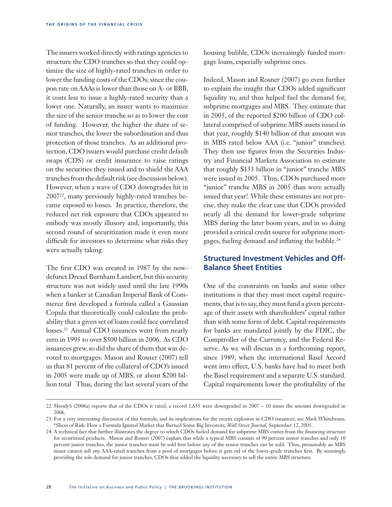The issuers worked directly with ratings agencies to structure the CDO tranches so that they could optimize the size of highly-rated tranches in order to lower the funding costs of the CDOs; since the coupon rate on AAAs is lower than those on A- or BBB, it costs less to issue a highly-rated security than a lower one. Naturally, an issuer wants to maximize the size of the senior tranche so as to lower the cost of funding. However, the higher the share of senior tranches, the lower the subordination and thus protection of those tranches. As an additional protection, CDO issuers would purchase credit default swaps (CDS) or credit insurance to raise ratings on the securities they issued and to shield the AAA tranches from the default risk (see discussion below). However, when a wave of CDO downgrades hit in 200722, many previously highly-rated tranches became exposed to losses. In practice, therefore, the reduced net risk exposure that CDOs appeared to embody was mostly illusory and, importantly, this second round of securitization made it even more difficult for investors to determine what risks they were actually taking.

The first CDO was created in 1987 by the nowdefunct Drexel Burnham Lambert, but this security structure was not widely used until the late 1990s when a banker at Canadian Imperial Bank of Commerce first developed a formula called a Gaussian Copula that theoretically could calculate the probability that a given set of loans could face correlated losses.23 Annual CDO issuances went from nearly zero in 1995 to over \$500 billion in 2006. As CDO issuances grew, so did the share of them that was devoted to mortgages: Mason and Rosner (2007) tell us that 81 percent of the collateral of CDO's issued in 2005 were made up of MBS, or about \$200 billion total Thus, during the last several years of the

housing bubble, CDOs increasingly funded mortgage loans, especially subprime ones.

Indeed, Mason and Rosner (2007) go even further to explain the insight that CDOs added significant liquidity to, and thus helped fuel the demand for, subprime mortgages and MBS. They estimate that in 2005, of the reported \$200 billion of CDO collateral comprised of subprime MBS assets issued in that year, roughly \$140 billion of that amount was in MBS rated below AAA (i.e. "junior" tranches). They then use figures from the Securities Industry and Financial Markets Association to estimate that roughly \$133 billion in "junior" tranche MBS were issued in 2005. Thus, CDOs purchased more "junior" tranche MBS in 2005 than were actually issued that year! While these estimates are not precise, they make the clear case that CDOs provided nearly all the demand for lower-grade subprime MBS during the later boom years, and in so doing provided a critical credit source for subprime mortgages, fueling demand and inflating the bubble.24

# **Structured Investment Vehicles and Off-Balance Sheet Entities**

One of the constraints on banks and some other institutions is that they must meet capital requirements, that is to say, they must fund a given percentage of their assets with shareholders' capital rather than with some form of debt. Capital requirements for banks are mandated jointly by the FDIC, the Comptroller of the Currency, and the Federal Reserve. As we will discuss in a forthcoming report, since 1989, when the international Basel Accord went into effect, U.S. banks have had to meet both the Basel requirement and a separate U.S. standard. Capital requirements lower the profitability of the

<sup>22.</sup> Moody's (2008a) reports that of the CDOs it rated, a record 1,655 were downgraded in 2007 – 10 times the amount downgraded in 2006.

<sup>23.</sup> For a very interesting discussion of this formula, and its implications for the recent explosion in CDO issuances, see Mark Whitehouse, "Slices of Risk: How a Formula Ignited Market that Burned Some Big Investors; *Wall Street Journal,* September 12, 2005.

<sup>24.</sup> A technical fact that further illustrates the degree to which CDOs fueled demand for subprime MBS comes from the financing structure for securitized products. Mason and Rosner (2007) explain that while a typical MBS consists of 90 percent senior tranches and only 10 percent junior tranches, the junior tranches must be sold first before any of the senior tranches can be sold. Thus, presumably an MBS issuer cannot sell any AAA-rated tranches from a pool of mortgages before it gets rid of the lower-grade tranches first. By seemingly providing the sole demand for junior tranches, CDOs thus added the liquidity necessary to sell the entire MBS structure.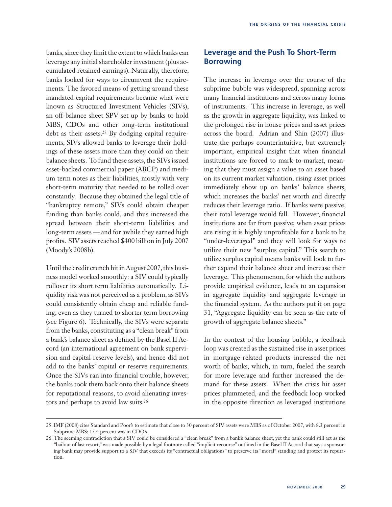banks, since they limit the extent to which banks can leverage any initial shareholder investment (plus accumulated retained earnings). Naturally, therefore, banks looked for ways to circumvent the requirements. The favored means of getting around these mandated capital requirements became what were known as Structured Investment Vehicles (SIVs), an off-balance sheet SPV set up by banks to hold MBS, CDOs and other long-term institutional debt as their assets.<sup>25</sup> By dodging capital requirements, SIVs allowed banks to leverage their holdings of these assets more than they could on their balance sheets. To fund these assets, the SIVs issued asset-backed commercial paper (ABCP) and medium term notes as their liabilities, mostly with very short-term maturity that needed to be rolled over constantly. Because they obtained the legal title of "bankruptcy remote," SIVs could obtain cheaper funding than banks could, and thus increased the spread between their short-term liabilities and long-term assets — and for awhile they earned high profits. SIV assets reached \$400 billion in July 2007 (Moody's 2008b).

Until the credit crunch hit in August 2007, this business model worked smoothly: a SIV could typically rollover its short term liabilities automatically. Liquidity risk was not perceived as a problem, as SIVs could consistently obtain cheap and reliable funding, even as they turned to shorter term borrowing (see Figure 6). Technically, the SIVs were separate from the banks, constituting as a "clean break" from a bank's balance sheet as defined by the Basel II Accord (an international agreement on bank supervision and capital reserve levels), and hence did not add to the banks' capital or reserve requirements. Once the SIVs ran into financial trouble, however, the banks took them back onto their balance sheets for reputational reasons, to avoid alienating investors and perhaps to avoid law suits.26

### **Leverage and the Push To Short-Term Borrowing**

The increase in leverage over the course of the subprime bubble was widespread, spanning across many financial institutions and across many forms of instruments. This increase in leverage, as well as the growth in aggregate liquidity, was linked to the prolonged rise in house prices and asset prices across the board. Adrian and Shin (2007) illustrate the perhaps counterintuitive, but extremely important, empirical insight that when financial institutions are forced to mark-to-market, meaning that they must assign a value to an asset based on its current market valuation, rising asset prices immediately show up on banks' balance sheets, which increases the banks' net worth and directly reduces their leverage ratio. If banks were passive, their total leverage would fall. However, financial institutions are far from passive; when asset prices are rising it is highly unprofitable for a bank to be "under-leveraged" and they will look for ways to utilize their new "surplus capital." This search to utilize surplus capital means banks will look to further expand their balance sheet and increase their leverage. This phenomenon, for which the authors provide empirical evidence, leads to an expansion in aggregate liquidity and aggregate leverage in the financial system. As the authors put it on page 31, "Aggregate liquidity can be seen as the rate of growth of aggregate balance sheets."

In the context of the housing bubble, a feedback loop was created as the sustained rise in asset prices in mortgage-related products increased the net worth of banks, which, in turn, fueled the search for more leverage and further increased the demand for these assets. When the crisis hit asset prices plummeted, and the feedback loop worked in the opposite direction as leveraged institutions

<sup>25.</sup> IMF (2008) cites Standard and Poor's to estimate that close to 30 percent of SIV assets were MBS as of October 2007, with 8.3 percent in Subprime MBS; 15.4 percent was in CDO's.

<sup>26.</sup> The seeming contradiction that a SIV could be considered a "clean break" from a bank's balance sheet, yet the bank could still act as the "bailout of last resort," was made possible by a legal footnote called "implicit recourse" outlined in the Basel II Accord that says a sponsoring bank may provide support to a SIV that exceeds its "contractual obligations" to preserve its "moral" standing and protect its reputation.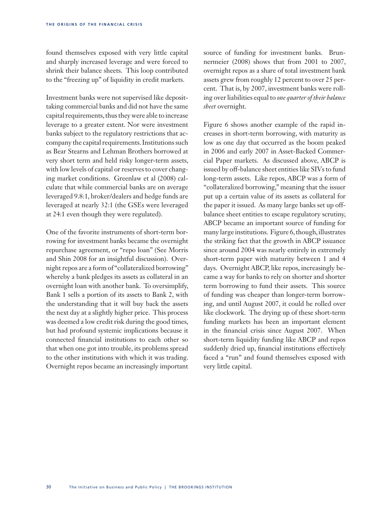found themselves exposed with very little capital and sharply increased leverage and were forced to shrink their balance sheets. This loop contributed to the "freezing up" of liquidity in credit markets.

Investment banks were not supervised like deposittaking commercial banks and did not have the same capital requirements, thus they were able to increase leverage to a greater extent. Nor were investment banks subject to the regulatory restrictions that accompany the capital requirements. Institutions such as Bear Stearns and Lehman Brothers borrowed at very short term and held risky longer-term assets, with low levels of capital or reserves to cover changing market conditions. Greenlaw et al (2008) calculate that while commercial banks are on average leveraged 9.8:1, broker/dealers and hedge funds are leveraged at nearly 32:1 (the GSEs were leveraged at 24:1 even though they were regulated).

One of the favorite instruments of short-term borrowing for investment banks became the overnight repurchase agreement, or "repo loan" (See Morris and Shin 2008 for an insightful discussion). Overnight repos are a form of "collateralized borrowing" whereby a bank pledges its assets as collateral in an overnight loan with another bank. To oversimplify, Bank 1 sells a portion of its assets to Bank 2, with the understanding that it will buy back the assets the next day at a slightly higher price. This process was deemed a low credit risk during the good times, but had profound systemic implications because it connected financial institutions to each other so that when one got into trouble, its problems spread to the other institutions with which it was trading. Overnight repos became an increasingly important

source of funding for investment banks. Brunnermeier (2008) shows that from 2001 to 2007, overnight repos as a share of total investment bank assets grew from roughly 12 percent to over 25 percent. That is, by 2007, investment banks were rolling over liabilities equal to *one quarter of their balance sheet* overnight.

Figure 6 shows another example of the rapid increases in short-term borrowing, with maturity as low as one day that occurred as the boom peaked in 2006 and early 2007 in Asset-Backed Commercial Paper markets. As discussed above, ABCP is issued by off-balance sheet entities like SIVs to fund long-term assets. Like repos, ABCP was a form of "collateralized borrowing," meaning that the issuer put up a certain value of its assets as collateral for the paper it issued. As many large banks set up offbalance sheet entities to escape regulatory scrutiny, ABCP became an important source of funding for many large institutions. Figure 6, though, illustrates the striking fact that the growth in ABCP issuance since around 2004 was nearly entirely in extremely short-term paper with maturity between 1 and 4 days. Overnight ABCP, like repos, increasingly became a way for banks to rely on shorter and shorter term borrowing to fund their assets. This source of funding was cheaper than longer-term borrowing, and until August 2007, it could be rolled over like clockwork. The drying up of these short-term funding markets has been an important element in the financial crisis since August 2007. When short-term liquidity funding like ABCP and repos suddenly dried up, financial institutions effectively faced a "run" and found themselves exposed with very little capital.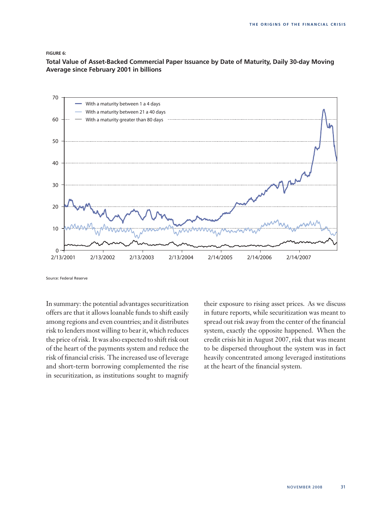### **Figure 6:**

**Total Value of Asset-Backed Commercial Paper Issuance by Date of Maturity, Daily 30-day Moving Average since February 2001 in billions**



Source: Federal Reserve

In summary: the potential advantages securitization offers are that it allows loanable funds to shift easily among regions and even countries; and it distributes risk to lenders most willing to bear it, which reduces the price of risk. It was also expected to shift risk out of the heart of the payments system and reduce the risk of financial crisis. The increased use of leverage and short-term borrowing complemented the rise in securitization, as institutions sought to magnify their exposure to rising asset prices. As we discuss in future reports, while securitization was meant to spread out risk away from the center of the financial system, exactly the opposite happened. When the credit crisis hit in August 2007, risk that was meant to be dispersed throughout the system was in fact heavily concentrated among leveraged institutions at the heart of the financial system.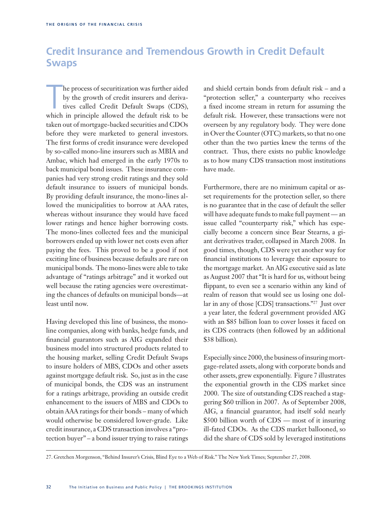# **Credit Insurance and Tremendous Growth in Credit Default Swaps**

he process of securitization was further aided<br>by the growth of credit insurers and deriva-<br>tives called Credit Default Swaps (CDS),<br>which in principle allowed the default risk to be he process of securitization was further aided by the growth of credit insurers and derivatives called Credit Default Swaps (CDS), taken out of mortgage-backed securities and CDOs before they were marketed to general investors. The first forms of credit insurance were developed by so-called mono-line insurers such as MBIA and Ambac, which had emerged in the early 1970s to back municipal bond issues. These insurance companies had very strong credit ratings and they sold default insurance to issuers of municipal bonds. By providing default insurance, the mono-lines allowed the municipalities to borrow at AAA rates, whereas without insurance they would have faced lower ratings and hence higher borrowing costs. The mono-lines collected fees and the municipal borrowers ended up with lower net costs even after paying the fees. This proved to be a good if not exciting line of business because defaults are rare on municipal bonds. The mono-lines were able to take advantage of "ratings arbitrage" and it worked out well because the rating agencies were overestimating the chances of defaults on municipal bonds—at least until now.

Having developed this line of business, the monoline companies, along with banks, hedge funds, and financial guarantors such as AIG expanded their business model into structured products related to the housing market, selling Credit Default Swaps to insure holders of MBS, CDOs and other assets against mortgage default risk. So, just as in the case of municipal bonds, the CDS was an instrument for a ratings arbitrage, providing an outside credit enhancement to the issuers of MBS and CDOs to obtain AAA ratings for their bonds – many of which would otherwise be considered lower-grade. Like credit insurance, a CDS transaction involves a "protection buyer" – a bond issuer trying to raise ratings and shield certain bonds from default risk – and a "protection seller," a counterparty who receives a fixed income stream in return for assuming the default risk. However, these transactions were not overseen by any regulatory body. They were done in Over the Counter (OTC) markets, so that no one other than the two parties knew the terms of the contract. Thus, there exists no public knowledge as to how many CDS transaction most institutions have made.

Furthermore, there are no minimum capital or asset requirements for the protection seller, so there is no guarantee that in the case of default the seller will have adequate funds to make full payment — an issue called "counterparty risk," which has especially become a concern since Bear Stearns, a giant derivatives trader, collapsed in March 2008. In good times, though, CDS were yet another way for financial institutions to leverage their exposure to the mortgage market. An AIG executive said as late as August 2007 that "It is hard for us, without being flippant, to even see a scenario within any kind of realm of reason that would see us losing one dollar in any of those [CDS] transactions."27 Just over a year later, the federal government provided AIG with an \$85 billion loan to cover losses it faced on its CDS contracts (then followed by an additional \$38 billion).

Especially since 2000, the business of insuring mortgage-related assets, along with corporate bonds and other assets, grew exponentially. Figure 7 illustrates the exponential growth in the CDS market since 2000. The size of outstanding CDS reached a staggering \$60 trillion in 2007. As of September 2008, AIG, a financial guarantor, had itself sold nearly \$500 billion worth of CDS — most of it insuring ill-fated CDOs. As the CDS market ballooned, so did the share of CDS sold by leveraged institutions

<sup>27.</sup> Gretchen Morgenson, "Behind Insurer's Crisis, Blind Eye to a Web of Risk." The New York Times; September 27, 2008.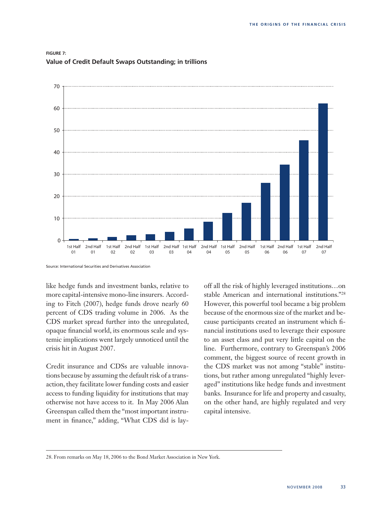

### **Figure 7: Value of Credit Default Swaps Outstanding; in trillions**

Source: International Securities and Derivatives Association

like hedge funds and investment banks, relative to more capital-intensive mono-line insurers. According to Fitch (2007), hedge funds drove nearly 60 percent of CDS trading volume in 2006. As the CDS market spread further into the unregulated, opaque financial world, its enormous scale and systemic implications went largely unnoticed until the crisis hit in August 2007.

Credit insurance and CDSs are valuable innovations because by assuming the default risk of a transaction, they facilitate lower funding costs and easier access to funding liquidity for institutions that may otherwise not have access to it. In May 2006 Alan Greenspan called them the "most important instrument in finance," adding, "What CDS did is layoff all the risk of highly leveraged institutions…on stable American and international institutions."28 However, this powerful tool became a big problem because of the enormous size of the market and because participants created an instrument which financial institutions used to leverage their exposure to an asset class and put very little capital on the line. Furthermore, contrary to Greenspan's 2006 comment, the biggest source of recent growth in the CDS market was not among "stable" institutions, but rather among unregulated "highly leveraged" institutions like hedge funds and investment banks. Insurance for life and property and casualty, on the other hand, are highly regulated and very capital intensive.

<sup>28.</sup> From remarks on May 18, 2006 to the Bond Market Association in New York.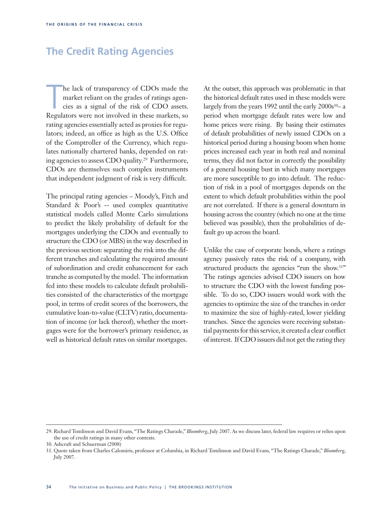# **The Credit Rating Agencies**

he lack of transparency of CDOs made the market reliant on the grades of ratings agencies as a signal of the risk of CDO assets.<br>Regulators were not involved in these markets, so he lack of transparency of CDOs made the market reliant on the grades of ratings agencies as a signal of the risk of CDO assets. rating agencies essentially acted as proxies for regulators; indeed, an office as high as the U.S. Office of the Comptroller of the Currency, which regulates nationally chartered banks, depended on rating agencies to assess CDO quality.29 Furthermore, CDOs are themselves such complex instruments that independent judgment of risk is very difficult.

The principal rating agencies – Moody's, Fitch and Standard & Poor's -- used complex quantitative statistical models called Monte Carlo simulations to predict the likely probability of default for the mortgages underlying the CDOs and eventually to structure the CDO (or MBS) in the way described in the previous section: separating the risk into the different tranches and calculating the required amount of subordination and credit enhancement for each tranche as computed by the model. The information fed into these models to calculate default probabilities consisted of the characteristics of the mortgage pool, in terms of credit scores of the borrowers, the cumulative loan-to-value (CLTV) ratio, documentation of income (or lack thereof), whether the mortgages were for the borrower's primary residence, as well as historical default rates on similar mortgages.

At the outset, this approach was problematic in that the historical default rates used in these models were largely from the years 1992 until the early 2000s<sup>30</sup>- a period when mortgage default rates were low and home prices were rising. By basing their estimates of default probabilities of newly issued CDOs on a historical period during a housing boom when home prices increased each year in both real and nominal terms, they did not factor in correctly the possibility of a general housing bust in which many mortgages are more susceptible to go into default. The reduction of risk in a pool of mortgages depends on the extent to which default probabilities within the pool are not correlated. If there is a general downturn in housing across the country (which no one at the time believed was possible), then the probabilities of default go up across the board.

Unlike the case of corporate bonds, where a ratings agency passively rates the risk of a company, with structured products the agencies "run the show.<sup>31"</sup> The ratings agencies advised CDO issuers on how to structure the CDO with the lowest funding possible. To do so, CDO issuers would work with the agencies to optimize the size of the tranches in order to maximize the size of highly-rated, lower yielding tranches. Since the agencies were receiving substantial payments for this service, it created a clear conflict of interest. If CDO issuers did not get the rating they

<sup>29.</sup> Richard Tomlinson and David Evans, "The Ratings Charade," *Bloomberg*, July 2007. As we discuss later, federal law requires or relies upon the use of credit ratings in many other contexts.

<sup>30.</sup> Ashcraft and Schuerman (2008)

<sup>31.</sup> Quote taken from Charles Calomiris, professor at Columbia, in Richard Tomlinson and David Evans, "The Ratings Charade," *Bloomberg*, July 2007.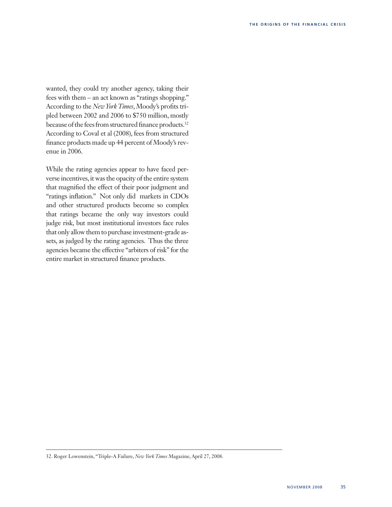wanted, they could try another agency, taking their fees with them – an act known as "ratings shopping." According to the *New York Times*, Moody's profits tripled between 2002 and 2006 to \$750 million, mostly because of the fees from structured finance products.<sup>32</sup> According to Coval et al (2008), fees from structured finance products made up 44 percent of Moody's revenue in 2006.

While the rating agencies appear to have faced perverse incentives, it was the opacity of the entire system that magnified the effect of their poor judgment and "ratings inflation." Not only did markets in CDOs and other structured products become so complex that ratings became the only way investors could judge risk, but most institutional investors face rules that only allow them to purchase investment-grade assets, as judged by the rating agencies. Thus the three agencies became the effective "arbiters of risk" for the entire market in structured finance products.

<sup>32.</sup> Roger Lowenstein, "Triple-A Failure, *New York Times* Magazine, April 27, 2008.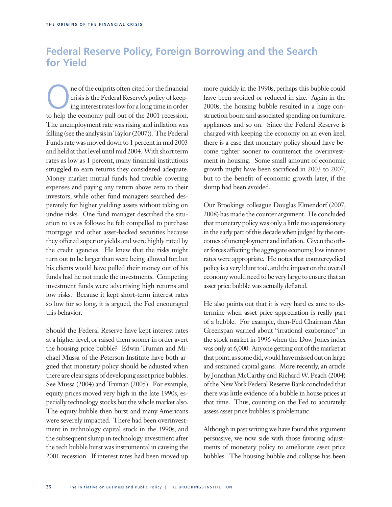# **Federal Reserve Policy, Foreign Borrowing and the Search for Yield**

The of the culprits often cited for the financial<br>crisis is the Federal Reserve's policy of keep-<br>ing interest rates low for a long time in order<br>to help the economy pull out of the 2001 recession crisis is the Federal Reserve's policy of keeping interest rates low for a long time in order to help the economy pull out of the 2001 recession. The unemployment rate was rising and inflation was falling (see the analysis in Taylor (2007)). The Federal Funds rate was moved down to 1 percent in mid 2003 and held at that level until mid 2004. With short term rates as low as 1 percent, many financial institutions struggled to earn returns they considered adequate. Money market mutual funds had trouble covering expenses and paying any return above zero to their investors, while other fund managers searched desperately for higher yielding assets without taking on undue risks. One fund manager described the situation to us as follows: he felt compelled to purchase mortgage and other asset-backed securities because they offered superior yields and were highly rated by the credit agencies. He knew that the risks might turn out to be larger than were being allowed for, but his clients would have pulled their money out of his funds had he not made the investments. Competing investment funds were advertising high returns and low risks. Because it kept short-term interest rates so low for so long, it is argued, the Fed encouraged this behavior.

Should the Federal Reserve have kept interest rates at a higher level, or raised them sooner in order avert the housing price bubble? Edwin Truman and Michael Mussa of the Peterson Institute have both argued that monetary policy should be adjusted when there are clear signs of developing asset price bubbles. See Mussa (2004) and Truman (2005). For example, equity prices moved very high in the late 1990s, especially technology stocks but the whole market also. The equity bubble then burst and many Americans were severely impacted. There had been overinvestment in technology capital stock in the 1990s, and the subsequent slump in technology investment after the tech bubble burst was instrumental in causing the 2001 recession. If interest rates had been moved up more quickly in the 1990s, perhaps this bubble could have been avoided or reduced in size. Again in the 2000s, the housing bubble resulted in a huge construction boom and associated spending on furniture, appliances and so on. Since the Federal Reserve is charged with keeping the economy on an even keel, there is a case that monetary policy should have become tighter sooner to counteract the overinvestment in housing. Some small amount of economic growth might have been sacrificed in 2003 to 2007, but to the benefit of economic growth later, if the slump had been avoided.

Our Brookings colleague Douglas Elmendorf (2007, 2008) has made the counter argument. He concluded that monetary policy was only a little too expansionary in the early part of this decade when judged by the outcomes of unemployment and inflation. Given the other forces affecting the aggregate economy, low interest rates were appropriate. He notes that countercyclical policy is a very blunt tool, and the impact on the overall economy would need to be very large to ensure that an asset price bubble was actually deflated.

He also points out that it is very hard ex ante to determine when asset price appreciation is really part of a bubble. For example, then-Fed Chairman Alan Greenspan warned about "irrational exuberance" in the stock market in 1996 when the Dow Jones index was only at 6,000. Anyone getting out of the market at that point, as some did, would have missed out on large and sustained capital gains. More recently, an article by Jonathan McCarthy and Richard W. Peach (2004) of the New York Federal Reserve Bank concluded that there was little evidence of a bubble in house prices at that time. Thus, counting on the Fed to accurately assess asset price bubbles is problematic.

Although in past writing we have found this argument persuasive, we now side with those favoring adjustments of monetary policy to ameliorate asset price bubbles. The housing bubble and collapse has been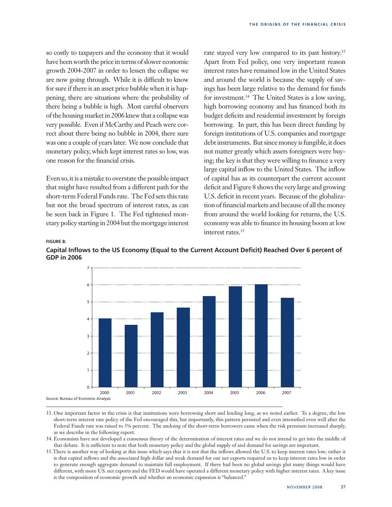so costly to taxpayers and the economy that it would have been worth the price in terms of slower economic growth 2004-2007 in order to lessen the collapse we are now going through. While it is difficult to know for sure if there is an asset price bubble when it is happening, there are situations where the probability of there being a bubble is high. Most careful observers of the housing market in 2006 knew that a collapse was very possible. Even if McCarthy and Peach were correct about there being no bubble in 2004, there sure was one a couple of years later. We now conclude that monetary policy, which kept interest rates so low, was one reason for the financial crisis.

Even so, it is a mistake to overstate the possible impact that might have resulted from a different path for the short-term Federal Funds rate. The Fed sets this rate but not the broad spectrum of interest rates, as can be seen back in Figure 1. The Fed tightened monetary policy starting in 2004 but the mortgage interest rate stayed very low compared to its past history.<sup>33</sup> Apart from Fed policy, one very important reason interest rates have remained low in the United States and around the world is because the supply of savings has been large relative to the demand for funds for investment.34 The United States is a low saving, high borrowing economy and has financed both its budget deficits and residential investment by foreign borrowing. In part, this has been direct funding by foreign institutions of U.S. companies and mortgage debt instruments. But since money is fungible, it does not matter greatly which assets foreigners were buying; the key is that they were willing to finance a very large capital inflow to the United States. The inflow of capital has as its counterpart the current account deficit and Figure 8 shows the very large and growing U.S. deficit in recent years. Because of the globalization of financial markets and because of all the money from around the world looking for returns, the U.S. economy was able to finance its housing boom at low interest rates.35

### **Figure 8:**





<sup>33.</sup> One important factor in the crisis is that institutions were borrowing short and lending long, as we noted earlier. To a degree, the low short-term interest rate policy of the Fed encouraged this, but importantly, this pattern persisted and even intensified even well after the Federal Funds rate was raised to 5¼ percent. The undoing of the short-term borrowers came when the risk premium increased sharply, as we describe in the following report.

34. Economists have not developed a consensus theory of the determination of interest rates and we do not intend to get into the middle of that debate. It is sufficient to note that both monetary policy and the global supply of and demand for savings are important.

35.There is another way of looking at this issue which says that it is not that the inflows allowed the U.S. to keep interest rates low; rather it is that capital inflows and the associated high dollar and weak demand for our net exports required us to keep interest rates low in order to generate enough aggregate demand to maintain full employment. If there had been no global savings glut many things would have different, with more US. net exports and the FED would have operated a different monetary policy with higher interest rates. A key issue is the composition of economic growth and whether an economic expansion is "balanced."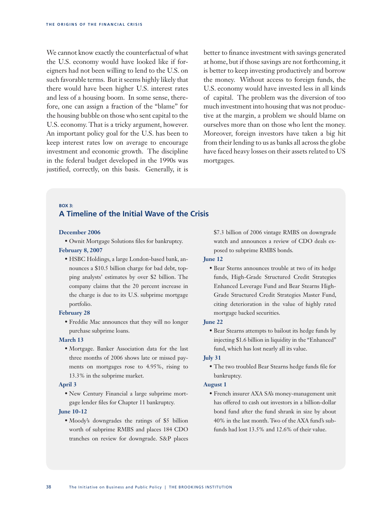We cannot know exactly the counterfactual of what the U.S. economy would have looked like if foreigners had not been willing to lend to the U.S. on such favorable terms. But it seems highly likely that there would have been higher U.S. interest rates and less of a housing boom. In some sense, therefore, one can assign a fraction of the "blame" for the housing bubble on those who sent capital to the U.S. economy. That is a tricky argument, however. An important policy goal for the U.S. has been to keep interest rates low on average to encourage investment and economic growth. The discipline in the federal budget developed in the 1990s was justified, correctly, on this basis. Generally, it is better to finance investment with savings generated at home, but if those savings are not forthcoming, it is better to keep investing productively and borrow the money. Without access to foreign funds, the U.S. economy would have invested less in all kinds of capital. The problem was the diversion of too much investment into housing that was not productive at the margin, a problem we should blame on ourselves more than on those who lent the money. Moreover, foreign investors have taken a big hit from their lending to us as banks all across the globe have faced heavy losses on their assets related to US mortgages.

### **Box 3: A Timeline of the Initial Wave of the Crisis**

### **December 2006**

• Ownit Mortgage Solutions files for bankruptcy. **February 8, 2007**

• HSBC Holdings, a large London-based bank, announces a \$10.5 billion charge for bad debt, topping analysts' estimates by over \$2 billion. The company claims that the 20 percent increase in the charge is due to its U.S. subprime mortgage portfolio.

### **February 28**

• Freddie Mac announces that they will no longer purchase subprime loans.

### **March 13**

• Mortgage. Banker Association data for the last three months of 2006 shows late or missed payments on mortgages rose to 4.95%, rising to 13.3% in the subprime market.

### **April 3**

• New Century Financial a large subprime mortgage lender files for Chapter 11 bankruptcy.

### **June 10-12**

• Moody's downgrades the ratings of \$5 billion worth of subprime RMBS and places 184 CDO tranches on review for downgrade. S&P places \$7.3 billion of 2006 vintage RMBS on downgrade watch and announces a review of CDO deals exposed to subprime RMBS bonds.

### **June 12**

• Bear Sterns announces trouble at two of its hedge funds, High-Grade Structured Credit Strategies Enhanced Leverage Fund and Bear Stearns High-Grade Structured Credit Strategies Master Fund, citing deterioration in the value of highly rated mortgage backed securities.

### **June 22**

• Bear Stearns attempts to bailout its hedge funds by injecting \$1.6 billion in liquidity in the "Enhanced" fund, which has lost nearly all its value.

### **July 31**

• The two troubled Bear Stearns hedge funds file for bankruptcy.

### **August 1**

• French insurer AXA SA's money-management unit has offered to cash out investors in a billion-dollar bond fund after the fund shrank in size by about 40% in the last month. Two of the AXA fund's subfunds had lost 13.5% and 12.6% of their value.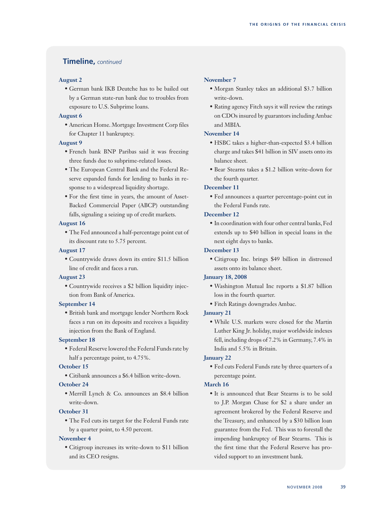### **Timeline,** *continued*

### **August 2**

• German bank IKB Deutche has to be bailed out by a German state-run bank due to troubles from exposure to U.S. Subprime loans.

### **August 6**

• American Home. Mortgage Investment Corp files for Chapter 11 bankruptcy.

### **August 9**

- French bank BNP Paribas said it was freezing three funds due to subprime-related losses.
- The European Central Bank and the Federal Reserve expanded funds for lending to banks in response to a widespread liquidity shortage.
- For the first time in years, the amount of Asset-Backed Commercial Paper (ABCP) outstanding falls, signaling a seizing up of credit markets.

### **August 16**

• The Fed announced a half-percentage point cut of its discount rate to 5.75 percent.

### **August 17**

• Countrywide draws down its entire \$11.5 billion line of credit and faces a run.

### **August 23**

• Countrywide receives a \$2 billion liquidity injection from Bank of America.

### **September 14**

• British bank and mortgage lender Northern Rock faces a run on its deposits and receives a liquidity injection from the Bank of England.

### **September 18**

• Federal Reserve lowered the Federal Funds rate by half a percentage point, to 4.75%.

### **October 15**

• Citibank announces a \$6.4 billion write-down.

### **October 24**

• Merrill Lynch & Co. announces an \$8.4 billion write-down.

### **October 31**

• The Fed cuts its target for the Federal Funds rate by a quarter point, to 4.50 percent.

### **November 4**

• Citigroup increases its write-down to \$11 billion and its CEO resigns.

### **November 7**

- Morgan Stanley takes an additional \$3.7 billion write-down.
- Rating agency Fitch says it will review the ratings on CDOs insured by guarantors including Ambac and MBIA.

### **November 14**

- HSBC takes a higher-than-expected \$3.4 billion charge and takes \$41 billion in SIV assets onto its balance sheet.
- Bear Stearns takes a \$1.2 billion write-down for the fourth quarter.

### **December 11**

• Fed announces a quarter percentage-point cut in the Federal Funds rate.

### **December 12**

• In coordination with four other central banks, Fed extends up to \$40 billion in special loans in the next eight days to banks.

### **December 13**

• Citigroup Inc. brings \$49 billion in distressed assets onto its balance sheet.

### **January 18, 2008**

- Washington Mutual Inc reports a \$1.87 billion loss in the fourth quarter.
- Fitch Ratings downgrades Ambac.

### **January 21**

• While U.S. markets were closed for the Martin Luther King Jr. holiday, major worldwide indexes fell, including drops of 7.2% in Germany, 7.4% in India and 5.5% in Britain.

### **January 22**

• Fed cuts Federal Funds rate by three quarters of a percentage point.

### **March 16**

• It is announced that Bear Stearns is to be sold to J.P. Morgan Chase for \$2 a share under an agreement brokered by the Federal Reserve and the Treasury, and enhanced by a \$30 billion loan guarantee from the Fed. This was to forestall the impending bankruptcy of Bear Stearns. This is the first time that the Federal Reserve has provided support to an investment bank.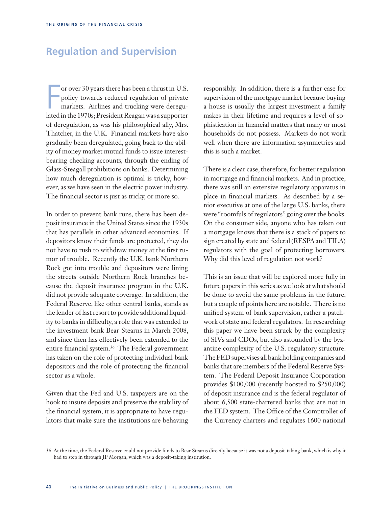# **Regulation and Supervision**

or over 30 years there has been a thrust in U.S.<br>policy towards reduced regulation of private<br>markets. Airlines and trucking were deregu-<br>lated in the 1970s; President Reagan was a supporter or over 30 years there has been a thrust in U.S. policy towards reduced regulation of private markets. Airlines and trucking were dereguof deregulation, as was his philosophical ally, Mrs. Thatcher, in the U.K. Financial markets have also gradually been deregulated, going back to the ability of money market mutual funds to issue interestbearing checking accounts, through the ending of Glass-Steagall prohibitions on banks. Determining how much deregulation is optimal is tricky, however, as we have seen in the electric power industry. The financial sector is just as tricky, or more so.

In order to prevent bank runs, there has been deposit insurance in the United States since the 1930s that has parallels in other advanced economies. If depositors know their funds are protected, they do not have to rush to withdraw money at the first rumor of trouble. Recently the U.K. bank Northern Rock got into trouble and depositors were lining the streets outside Northern Rock branches because the deposit insurance program in the U.K. did not provide adequate coverage. In addition, the Federal Reserve, like other central banks, stands as the lender of last resort to provide additional liquidity to banks in difficulty, a role that was extended to the investment bank Bear Stearns in March 2008, and since then has effectively been extended to the entire financial system.<sup>36</sup> The Federal government has taken on the role of protecting individual bank depositors and the role of protecting the financial sector as a whole.

Given that the Fed and U.S. taxpayers are on the hook to insure deposits and preserve the stability of the financial system, it is appropriate to have regulators that make sure the institutions are behaving

responsibly. In addition, there is a further case for supervision of the mortgage market because buying a house is usually the largest investment a family makes in their lifetime and requires a level of sophistication in financial matters that many or most households do not possess. Markets do not work well when there are information asymmetries and this is such a market.

There is a clear case, therefore, for better regulation in mortgage and financial markets. And in practice, there was still an extensive regulatory apparatus in place in financial markets. As described by a senior executive at one of the large U.S. banks, there were "roomfuls of regulators" going over the books. On the consumer side, anyone who has taken out a mortgage knows that there is a stack of papers to sign created by state and federal (RESPA and TILA) regulators with the goal of protecting borrowers. Why did this level of regulation not work?

This is an issue that will be explored more fully in future papers in this series as we look at what should be done to avoid the same problems in the future, but a couple of points here are notable. There is no unified system of bank supervision, rather a patchwork of state and federal regulators. In researching this paper we have been struck by the complexity of SIVs and CDOs, but also astounded by the byzantine complexity of the U.S. regulatory structure. The FED supervises all bank holding companies and banks that are members of the Federal Reserve System. The Federal Deposit Insurance Corporation provides \$100,000 (recently boosted to \$250,000) of deposit insurance and is the federal regulator of about 6,500 state-chartered banks that are not in the FED system. The Office of the Comptroller of the Currency charters and regulates 1600 national

<sup>36.</sup> At the time, the Federal Reserve could not provide funds to Bear Stearns directly because it was not a deposit-taking bank, which is why it had to step in through JP Morgan, which was a deposit-taking institution.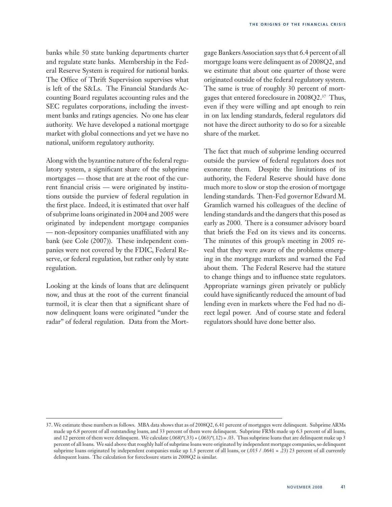banks while 50 state banking departments charter and regulate state banks. Membership in the Federal Reserve System is required for national banks. The Office of Thrift Supervision supervises what is left of the S&Ls. The Financial Standards Accounting Board regulates accounting rules and the SEC regulates corporations, including the investment banks and ratings agencies. No one has clear authority. We have developed a national mortgage market with global connections and yet we have no national, uniform regulatory authority.

Along with the byzantine nature of the federal regulatory system, a significant share of the subprime mortgages — those that are at the root of the current financial crisis — were originated by institutions outside the purview of federal regulation in the first place. Indeed, it is estimated that over half of subprime loans originated in 2004 and 2005 were originated by independent mortgage companies — non-depository companies unaffiliated with any bank (see Cole (2007)). These independent companies were not covered by the FDIC, Federal Reserve, or federal regulation, but rather only by state regulation.

Looking at the kinds of loans that are delinquent now, and thus at the root of the current financial turmoil, it is clear then that a significant share of now delinquent loans were originated "under the radar" of federal regulation. Data from the Mortgage Bankers Association says that 6.4 percent of all mortgage loans were delinquent as of 2008Q2, and we estimate that about one quarter of those were originated outside of the federal regulatory system. The same is true of roughly 30 percent of mortgages that entered foreclosure in 2008Q2.37 Thus, even if they were willing and apt enough to rein in on lax lending standards, federal regulators did not have the direct authority to do so for a sizeable share of the market.

The fact that much of subprime lending occurred outside the purview of federal regulators does not exonerate them. Despite the limitations of its authority, the Federal Reserve should have done much more to slow or stop the erosion of mortgage lending standards. Then-Fed governor Edward M. Gramlich warned his colleagues of the decline of lending standards and the dangers that this posed as early as 2000. There is a consumer advisory board that briefs the Fed on its views and its concerns. The minutes of this group's meeting in 2005 reveal that they were aware of the problems emerging in the mortgage markets and warned the Fed about them. The Federal Reserve had the stature to change things and to influence state regulators. Appropriate warnings given privately or publicly could have significantly reduced the amount of bad lending even in markets where the Fed had no direct legal power. And of course state and federal regulators should have done better also.

<sup>37.</sup> We estimate these numbers as follows. MBA data shows that as of 2008Q2, 6.41 percent of mortgages were delinquent. Subprime ARMs made up 6.8 percent of all outstanding loans, and 33 percent of them were delinquent. Subprime FRMs made up 6.3 percent of all loans, and 12 percent of them were delinquent. We calculate  $(.068) * (.33) + (.063) * (.12) = .03$ . Thus subprime loans that are delinquent make up 3 percent of all loans. We said above that roughly half of subprime loans were originated by independent mortgage companies, so delinquent subprime loans originated by independent companies make up 1.5 percent of all loans, or (.015 / .0641 = .23) 23 percent of all currently delinquent loans. The calculation for foreclosure starts in 2008Q2 is similar.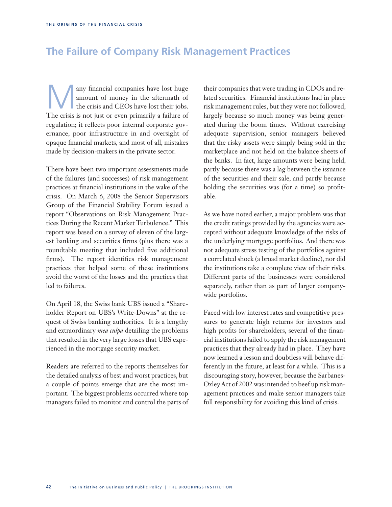# **The Failure of Company Risk Management Practices**

any financial companies have lost huge<br>amount of money in the aftermath of<br>the crisis is not just or even primarily a follure of amount of money in the aftermath of the crisis and CEOs have lost their jobs. The crisis is not just or even primarily a failure of regulation; it reflects poor internal corporate governance, poor infrastructure in and oversight of opaque financial markets, and most of all, mistakes made by decision-makers in the private sector.

There have been two important assessments made of the failures (and successes) of risk management practices at financial institutions in the wake of the crisis. On March 6, 2008 the Senior Supervisors Group of the Financial Stability Forum issued a report "Observations on Risk Management Practices During the Recent Market Turbulence." This report was based on a survey of eleven of the largest banking and securities firms (plus there was a roundtable meeting that included five additional firms). The report identifies risk management practices that helped some of these institutions avoid the worst of the losses and the practices that led to failures.

On April 18, the Swiss bank UBS issued a "Shareholder Report on UBS's Write-Downs" at the request of Swiss banking authorities. It is a lengthy and extraordinary *mea culpa* detailing the problems that resulted in the very large losses that UBS experienced in the mortgage security market.

Readers are referred to the reports themselves for the detailed analysis of best and worst practices, but a couple of points emerge that are the most important. The biggest problems occurred where top managers failed to monitor and control the parts of their companies that were trading in CDOs and related securities. Financial institutions had in place risk management rules, but they were not followed, largely because so much money was being generated during the boom times. Without exercising adequate supervision, senior managers believed that the risky assets were simply being sold in the marketplace and not held on the balance sheets of the banks. In fact, large amounts were being held, partly because there was a lag between the issuance of the securities and their sale, and partly because holding the securities was (for a time) so profitable.

As we have noted earlier, a major problem was that the credit ratings provided by the agencies were accepted without adequate knowledge of the risks of the underlying mortgage portfolios. And there was not adequate stress testing of the portfolios against a correlated shock (a broad market decline), nor did the institutions take a complete view of their risks. Different parts of the businesses were considered separately, rather than as part of larger companywide portfolios.

Faced with low interest rates and competitive pressures to generate high returns for investors and high profits for shareholders, several of the financial institutions failed to apply the risk management practices that they already had in place. They have now learned a lesson and doubtless will behave differently in the future, at least for a while. This is a discouraging story, however, because the Sarbanes-Oxley Act of 2002 was intended to beef up risk management practices and make senior managers take full responsibility for avoiding this kind of crisis.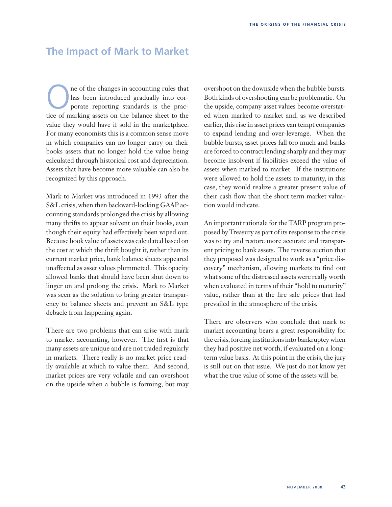# **The Impact of Mark to Market**

The of the changes in accounting rules that<br>has been introduced gradually into cor-<br>porate reporting standards is the prac-<br>tice of marking assets on the belonge sheet to the has been introduced gradually into corporate reporting standards is the practice of marking assets on the balance sheet to the value they would have if sold in the marketplace. For many economists this is a common sense move in which companies can no longer carry on their books assets that no longer hold the value being calculated through historical cost and depreciation. Assets that have become more valuable can also be recognized by this approach.

Mark to Market was introduced in 1993 after the S&L crisis, when then backward-looking GAAP accounting standards prolonged the crisis by allowing many thrifts to appear solvent on their books, even though their equity had effectively been wiped out. Because book value of assets was calculated based on the cost at which the thrift bought it, rather than its current market price, bank balance sheets appeared unaffected as asset values plummeted. This opacity allowed banks that should have been shut down to linger on and prolong the crisis. Mark to Market was seen as the solution to bring greater transparency to balance sheets and prevent an S&L type debacle from happening again.

There are two problems that can arise with mark to market accounting, however. The first is that many assets are unique and are not traded regularly in markets. There really is no market price readily available at which to value them. And second, market prices are very volatile and can overshoot on the upside when a bubble is forming, but may overshoot on the downside when the bubble bursts. Both kinds of overshooting can be problematic. On the upside, company asset values become overstated when marked to market and, as we described earlier, this rise in asset prices can tempt companies to expand lending and over-leverage. When the bubble bursts, asset prices fall too much and banks are forced to contract lending sharply and they may become insolvent if liabilities exceed the value of assets when marked to market. If the institutions were allowed to hold the assets to maturity, in this case, they would realize a greater present value of their cash flow than the short term market valuation would indicate.

An important rationale for the TARP program proposed by Treasury as part of its response to the crisis was to try and restore more accurate and transparent pricing to bank assets. The reverse auction that they proposed was designed to work as a "price discovery" mechanism, allowing markets to find out what some of the distressed assets were really worth when evaluated in terms of their "hold to maturity" value, rather than at the fire sale prices that had prevailed in the atmosphere of the crisis.

There are observers who conclude that mark to market accounting bears a great responsibility for the crisis, forcing institutions into bankruptcy when they had positive net worth, if evaluated on a longterm value basis. At this point in the crisis, the jury is still out on that issue. We just do not know yet what the true value of some of the assets will be.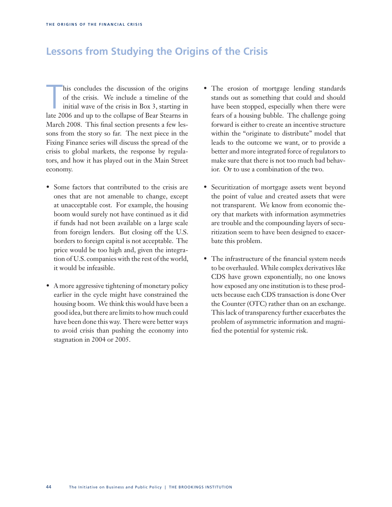# **Lessons from Studying the Origins of the Crisis**

his concludes the discussion of the origins<br>of the crisis. We include a timeline of the<br>initial wave of the crisis in Box 3, starting in<br>late 2006 and up to the collapse of Bear Stearns in his concludes the discussion of the origins of the crisis. We include a timeline of the initial wave of the crisis in Box 3, starting in March 2008. This final section presents a few lessons from the story so far. The next piece in the Fixing Finance series will discuss the spread of the crisis to global markets, the response by regulators, and how it has played out in the Main Street economy.

- Some factors that contributed to the crisis are ones that are not amenable to change, except at unacceptable cost. For example, the housing boom would surely not have continued as it did if funds had not been available on a large scale from foreign lenders. But closing off the U.S. borders to foreign capital is not acceptable. The price would be too high and, given the integration of U.S. companies with the rest of the world, it would be infeasible.
- A more aggressive tightening of monetary policy earlier in the cycle might have constrained the housing boom. We think this would have been a good idea, but there are limits to how much could have been done this way. There were better ways to avoid crisis than pushing the economy into stagnation in 2004 or 2005.
- The erosion of mortgage lending standards stands out as something that could and should have been stopped, especially when there were fears of a housing bubble. The challenge going forward is either to create an incentive structure within the "originate to distribute" model that leads to the outcome we want, or to provide a better and more integrated force of regulators to make sure that there is not too much bad behavior. Or to use a combination of the two.
- Securitization of mortgage assets went beyond the point of value and created assets that were not transparent. We know from economic theory that markets with information asymmetries are trouble and the compounding layers of securitization seem to have been designed to exacerbate this problem.
- The infrastructure of the financial system needs to be overhauled. While complex derivatives like CDS have grown exponentially, no one knows how exposed any one institution is to these products because each CDS transaction is done Over the Counter (OTC) rather than on an exchange. This lack of transparency further exacerbates the problem of asymmetric information and magnified the potential for systemic risk.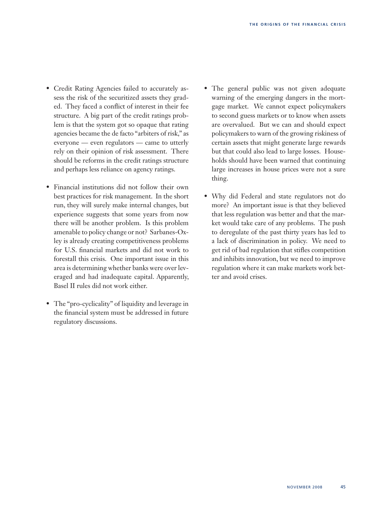- Credit Rating Agencies failed to accurately assess the risk of the securitized assets they graded. They faced a conflict of interest in their fee structure. A big part of the credit ratings problem is that the system got so opaque that rating agencies became the de facto "arbiters of risk," as everyone — even regulators — came to utterly rely on their opinion of risk assessment. There should be reforms in the credit ratings structure and perhaps less reliance on agency ratings.
- Financial institutions did not follow their own best practices for risk management. In the short run, they will surely make internal changes, but experience suggests that some years from now there will be another problem. Is this problem amenable to policy change or not? Sarbanes-Oxley is already creating competitiveness problems for U.S. financial markets and did not work to forestall this crisis. One important issue in this area is determining whether banks were over leveraged and had inadequate capital. Apparently, Basel II rules did not work either.
- The "pro-cyclicality" of liquidity and leverage in the financial system must be addressed in future regulatory discussions.
- The general public was not given adequate warning of the emerging dangers in the mortgage market. We cannot expect policymakers to second guess markets or to know when assets are overvalued. But we can and should expect policymakers to warn of the growing riskiness of certain assets that might generate large rewards but that could also lead to large losses. Households should have been warned that continuing large increases in house prices were not a sure thing.
- Why did Federal and state regulators not do more? An important issue is that they believed that less regulation was better and that the market would take care of any problems. The push to deregulate of the past thirty years has led to a lack of discrimination in policy. We need to get rid of bad regulation that stifles competition and inhibits innovation, but we need to improve regulation where it can make markets work better and avoid crises.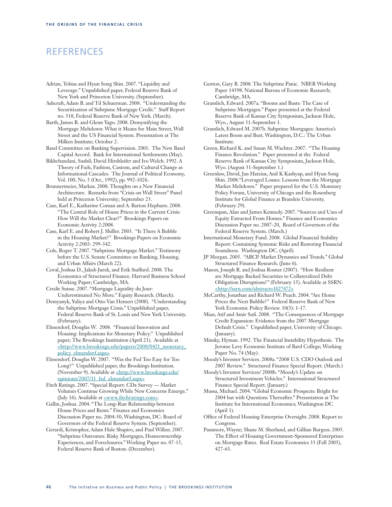# REFERENCES

Adrian, Tobias and Hyun Song Shin. 2007. "Liquidity and Leverage." Unpublished paper, Federal Reserve Bank of New York and Princeton University. (September).

Ashcraft, Adam B. and Til Schuerman. 2008. "Understanding the Securitization of Subrpime Mortgage Credit." Staff Report no. 318, Federal Reserve Bank of New York. (March).

Barth, James R. and Glenn Yago. 2008. Demystifying the Mortgage Meltdown: What it Means for Main Street, Wall Street and the US Financial System. Presentation at The Milken Institute; October 2.

Basel Committee on Banking Supervision. 2001. The New Basel Capital Accord. Bank for International Settlements (May).

Bikhchandani, Sushil; David Hirshleifer and Ivo Welch. 1992. A Theory of Fads, Fashion, Custom, and Cultural Change as Informational Cascades. The Journal of Political Economy, Vol. 100, No. 5 (Oct., 1992), pp. 992-1026.

Brunnermeier, Markus. 2008. Thoughts on a New Financial Architecture. Remarks from "Crisis on Wall Street" Panel held at Princeton University; September 23.

Case, Karl E., Katharine Coman and A. Barton Hepburn. 2008. "The Central Role of House Prices in the Current Crisis: How Will the Market Clear?" Brookings Papers on Economic Activity 2:2008.

Case, Karl E. and Robert J. Shiller. 2003. "Is There A Bubble in the Housing Market?" Brookings Papers on Economic Activity 2:2003: 299-342.

Cole, Roger T. 2007. "Subprime Mortgage Market." Testimony before the U.S. Senate Committee on Banking, Housing, and Urban Affairs (March 22).

Coval, Joshua D., Jakub Jurek, and Erik Staffurd. 2008. The Economics of Structured Finance. Harvard Business School Working Paper; Cambridge, MA.

Credit Suisse. 2007. "Mortgage Liquidity du Jour: Underestimated No More." Equity Research. (March).

Demyanyk, Yuliya and Otto Van Hemert (2008). "Understanding the Subprime Mortgage Crisis." Unpublished paper, Federal Reserve Bank of St. Louis and New York University. (February).

Elmendorf, Douglas W. 2008. "Financial Innovation and Housing: Implications for Monetary Policy." Unpublished paper; The Brookings Institution (April 21). Available at <http://www.brookings.edu/papers/2008/0421\_monetary\_ policy\_elmendorf.aspx>

Elmendorf, Douglas W. 2007. "Was the Fed Too Easy for Too Long?" Unpublished paper, the Brookings Institution. (November 9). Available at <http://www.brookings.edu/ opinions/2007/11\_fed\_elmendorf.aspx>

Fitch Ratings. 2007. "Special Report: CDx Survey — Market Volumes Continue Growing While New Concerns Emerge." (July 16). Available at <u><www.fitchratings.com></u>.

Gallin, Joshua. 2004. "The Long-Run Relationship between House Prices and Rents." Finance and Economics Discussion Paper no. 2004-50, Washington, DC: Board of Governors of the Federal Reserve System. (September).

Gerardi, Kristopher, Adam Hale Shapiro, and Paul Willen. 2007. "Subprime Outcomes: Risky Mortgages, Homeownership Experiences, and Foreclosures." Working Paper no. 07-15, Federal Reserve Bank of Boston. (December).

Gorton, Gary B. 2008. The Subprime Panic. NBER Working Paper 14398. National Bureau of Economic Research; Cambridge, MA.

Gramlich, Edward. 2007a. "Booms and Busts: The Case of Subprime Mortgages." Paper presented at the Federal Reserve Bank of Kansas City Symposium, Jackson Hole, Wyo., August 31-September 1.

Gramlich, Edward M. 2007b. Subprime Mortgages: America's Latest Boom and Bust. Washington, D.C.: The Urban Institute.

Green, Richard K. and Susan M. Wachter. 2007. "The Housing Finance Revolution." Paper presented at the Federal Reserve Bank of Kansas City Symposium, Jackson Hole, Wyo. (August 31-September 1.)

Greenlaw, David, Jan Hatzius, Anil K Kashyap, and Hyun Song Shin. 2008."Leveraged Losses: Lessons from the Mortgage Market Meltdown." Paper prepared for the U.S. Monetary Policy Forum, University of Chicago and the Rosenberg Institute for Global Finance at Brandeis University. (February 29).

Greenspan, Alan and James Kennedy. 2007. "Sources and Uses of Equity Extracted From Homes." Finance and Economics Discussion Paper no. 2007-20, Board of Governors of the Federal Reserve System. (March.)

International Monetary Fund. 2008. Global Financial Stability Report: Containing Systemic Risks and Restoring Financial Soundness. Washington DC. (April).

JP Morgan. 2005. "ABCP Market Dynamics and Trends." Global Structured Finance Research. (June 6).

Mason, Joseph R. and Joshua Rosner (2007). "How Resilient are Mortgage Backed Securities to Collateralized Debt Obligation Disruptions?" (February 15). Available at SSRN: <http://ssrn.com/abstract=1027472>

McCarthy, Jonathan and Richard W. Peach. 2004. "Are Home Prices the Next Bubble?" Federal Reserve Bank of New York Economic Policy Review. 10(3): 1-17.

Mian, Atif and Amir Sufi. 2008. "The Consequences of Mortgage Credit Expansion: Evidence from the 2007 Mortgage Default Crisis." Unpublished paper, University of Chicago. (January).

Minsky, Hyman. 1992. The Financial Instability Hypothesis. The Jerome Levy Economic Institute of Bard College; Working Paper No. 74 (May).

Moody's Investor Services. 2008a. "2008 U.S. CDO Outlook and 2007 Review." Structured Finance Special Report. (March.)

Moody's Investor Services/ 2008b. "Moody's Update on Structured Investment Vehicles." International Structured Finance Special Report. (January.)

Mussa, Michael. 2004. "Global Economic Prospects: Bright for 2004 but with Questions Thereafter." Presentation at The Institute for International Economics; Washington DC (April 1).

Office of Federal Housing Enterprise Oversight. 2008. Report to Congress.

Passmore, Wayne; Shane M. Sherlund, and Gillian Burgess. 2005. The Effect of Housing Government-Sponsored Enterprises on Mortgage Rates. Real Estate Economics 33 (Fall 2005), 427-63.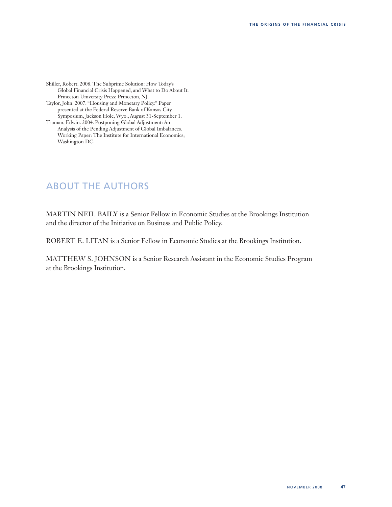Shiller, Robert. 2008. The Subprime Solution: How Today's Global Financial Crisis Happened, and What to Do About It. Princeton University Press; Princeton, NJ.

Taylor, John. 2007. "Housing and Monetary Policy." Paper presented at the Federal Reserve Bank of Kansas City Symposium, Jackson Hole, Wyo., August 31-September 1.

Truman, Edwin. 2004. Postponing Global Adjustment: An Analysis of the Pending Adjustment of Global Imbalances. Working Paper: The Institute for International Economics; Washington DC.

# ABOUT THE AUTHORS

MARTIN NEIL BAILY is a Senior Fellow in Economic Studies at the Brookings Institution and the director of the Initiative on Business and Public Policy.

ROBERT E. LITAN is a Senior Fellow in Economic Studies at the Brookings Institution.

MATTHEW S. JOHNSON is a Senior Research Assistant in the Economic Studies Program at the Brookings Institution.